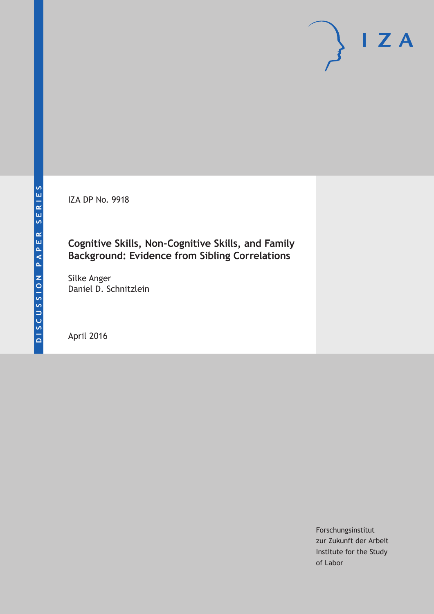IZA DP No. 9918

### **Cognitive Skills, Non-Cognitive Skills, and Family Background: Evidence from Sibling Correlations**

Silke Anger Daniel D. Schnitzlein

April 2016

Forschungsinstitut zur Zukunft der Arbeit Institute for the Study of Labor

 $I Z A$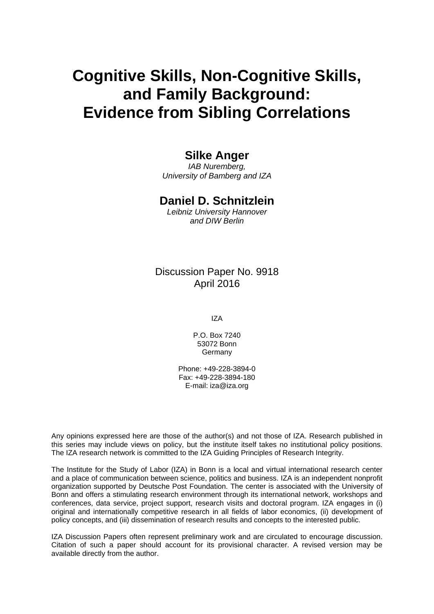# **Cognitive Skills, Non-Cognitive Skills, and Family Background: Evidence from Sibling Correlations**

#### **Silke Anger**

*IAB Nuremberg, University of Bamberg and IZA* 

#### **Daniel D. Schnitzlein**

*Leibniz University Hannover and DIW Berlin* 

Discussion Paper No. 9918 April 2016

IZA

P.O. Box 7240 53072 Bonn **Germany** 

Phone: +49-228-3894-0 Fax: +49-228-3894-180 E-mail: iza@iza.org

Any opinions expressed here are those of the author(s) and not those of IZA. Research published in this series may include views on policy, but the institute itself takes no institutional policy positions. The IZA research network is committed to the IZA Guiding Principles of Research Integrity.

The Institute for the Study of Labor (IZA) in Bonn is a local and virtual international research center and a place of communication between science, politics and business. IZA is an independent nonprofit organization supported by Deutsche Post Foundation. The center is associated with the University of Bonn and offers a stimulating research environment through its international network, workshops and conferences, data service, project support, research visits and doctoral program. IZA engages in (i) original and internationally competitive research in all fields of labor economics, (ii) development of policy concepts, and (iii) dissemination of research results and concepts to the interested public.

IZA Discussion Papers often represent preliminary work and are circulated to encourage discussion. Citation of such a paper should account for its provisional character. A revised version may be available directly from the author.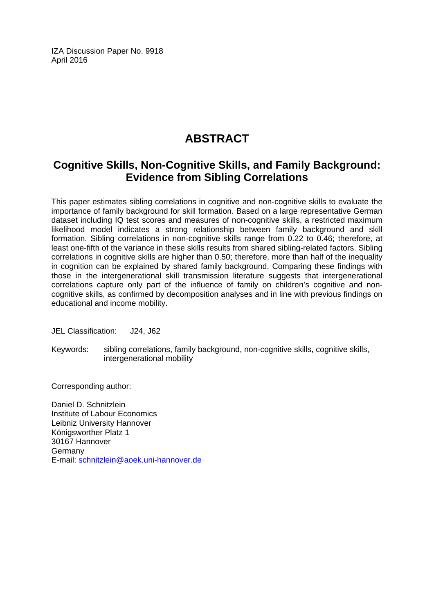IZA Discussion Paper No. 9918 April 2016

# **ABSTRACT**

### **Cognitive Skills, Non-Cognitive Skills, and Family Background: Evidence from Sibling Correlations**

This paper estimates sibling correlations in cognitive and non-cognitive skills to evaluate the importance of family background for skill formation. Based on a large representative German dataset including IQ test scores and measures of non-cognitive skills, a restricted maximum likelihood model indicates a strong relationship between family background and skill formation. Sibling correlations in non-cognitive skills range from 0.22 to 0.46; therefore, at least one-fifth of the variance in these skills results from shared sibling-related factors. Sibling correlations in cognitive skills are higher than 0.50; therefore, more than half of the inequality in cognition can be explained by shared family background. Comparing these findings with those in the intergenerational skill transmission literature suggests that intergenerational correlations capture only part of the influence of family on children's cognitive and noncognitive skills, as confirmed by decomposition analyses and in line with previous findings on educational and income mobility.

JEL Classification: J24, J62

Keywords: sibling correlations, family background, non-cognitive skills, cognitive skills, intergenerational mobility

Corresponding author:

Daniel D. Schnitzlein Institute of Labour Economics Leibniz University Hannover Königsworther Platz 1 30167 Hannover Germany E-mail: schnitzlein@aoek.uni-hannover.de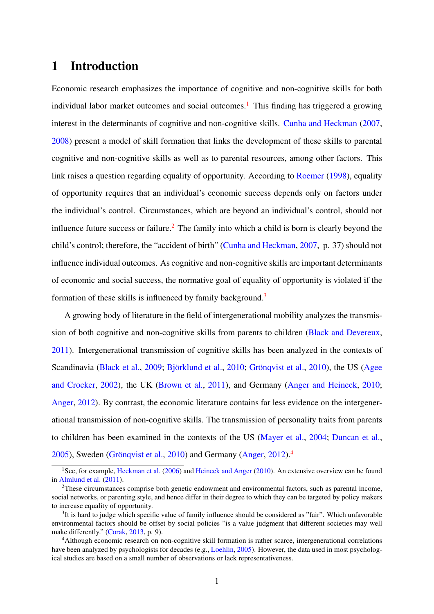### 1 Introduction

Economic research emphasizes the importance of cognitive and non-cognitive skills for both individual labor market outcomes and social outcomes.<sup>[1](#page--1-0)</sup> This finding has triggered a growing interest in the determinants of cognitive and non-cognitive skills. [Cunha and Heckman](#page-25-0) [\(2007,](#page-25-0) [2008\)](#page-25-1) present a model of skill formation that links the development of these skills to parental cognitive and non-cognitive skills as well as to parental resources, among other factors. This link raises a question regarding equality of opportunity. According to [Roemer](#page-26-0) [\(1998\)](#page-26-0), equality of opportunity requires that an individual's economic success depends only on factors under the individual's control. Circumstances, which are beyond an individual's control, should not influence future success or failure.<sup>[2](#page--1-0)</sup> The family into which a child is born is clearly beyond the child's control; therefore, the "accident of birth" [\(Cunha and Heckman,](#page-25-0) [2007,](#page-25-0) p. 37) should not influence individual outcomes. As cognitive and non-cognitive skills are important determinants of economic and social success, the normative goal of equality of opportunity is violated if the formation of these skills is influenced by family background.<sup>[3](#page--1-0)</sup>

A growing body of literature in the field of intergenerational mobility analyzes the transmission of both cognitive and non-cognitive skills from parents to children [\(Black and Devereux,](#page-24-0) [2011\)](#page-24-0). Intergenerational transmission of cognitive skills has been analyzed in the contexts of Scandinavia [\(Black et al.,](#page-24-1) [2009;](#page-24-1) Björklund et al., [2010;](#page-24-2) Grönqvist et al., [2010\)](#page-25-2), the US [\(Agee](#page-24-3) [and Crocker,](#page-24-3) [2002\)](#page-24-3), the UK [\(Brown et al.,](#page-24-4) [2011\)](#page-24-4), and Germany [\(Anger and Heineck,](#page-24-5) [2010;](#page-24-5) [Anger,](#page-24-6) [2012\)](#page-24-6). By contrast, the economic literature contains far less evidence on the intergenerational transmission of non-cognitive skills. The transmission of personality traits from parents to children has been examined in the contexts of the US [\(Mayer et al.,](#page-26-1) [2004;](#page-26-1) [Duncan et al.,](#page-25-3)  $2005$ ), Sweden (Grönqvist et al.,  $2010$ ) and Germany [\(Anger,](#page-24-6)  $2012$ ).<sup>[4](#page--1-0)</sup>

<sup>&</sup>lt;sup>1</sup>See, for example, [Heckman et al.](#page-25-4) [\(2006\)](#page-25-4) and [Heineck and Anger](#page-25-5) [\(2010\)](#page-25-5). An extensive overview can be found in [Almlund et al.](#page-24-7) [\(2011\)](#page-24-7).

<sup>2</sup>These circumstances comprise both genetic endowment and environmental factors, such as parental income, social networks, or parenting style, and hence differ in their degree to which they can be targeted by policy makers to increase equality of opportunity.

<sup>&</sup>lt;sup>3</sup>It is hard to judge which specific value of family influence should be considered as "fair". Which unfavorable environmental factors should be offset by social policies "is a value judgment that different societies may well make differently." [\(Corak,](#page-25-6) [2013,](#page-25-6) p. 9).

<sup>4</sup>Although economic research on non-cognitive skill formation is rather scarce, intergenerational correlations have been analyzed by psychologists for decades (e.g., [Loehlin,](#page-26-2) [2005\)](#page-26-2). However, the data used in most psychological studies are based on a small number of observations or lack representativeness.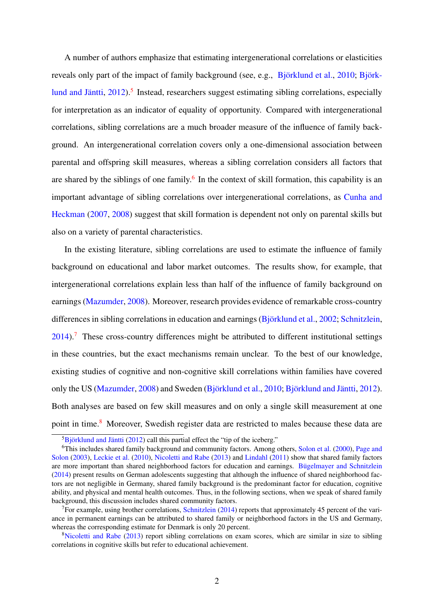A number of authors emphasize that estimating intergenerational correlations or elasticities reveals only part of the impact of family background (see, e.g., Björklund et al., [2010;](#page-24-2) Björk-lund and Jäntti, [2012\)](#page-24-8).<sup>[5](#page--1-0)</sup> Instead, researchers suggest estimating sibling correlations, especially for interpretation as an indicator of equality of opportunity. Compared with intergenerational correlations, sibling correlations are a much broader measure of the influence of family background. An intergenerational correlation covers only a one-dimensional association between parental and offspring skill measures, whereas a sibling correlation considers all factors that are shared by the siblings of one family.<sup>[6](#page--1-0)</sup> In the context of skill formation, this capability is an important advantage of sibling correlations over intergenerational correlations, as [Cunha and](#page-25-0) [Heckman](#page-25-0) [\(2007,](#page-25-0) [2008\)](#page-25-1) suggest that skill formation is dependent not only on parental skills but also on a variety of parental characteristics.

In the existing literature, sibling correlations are used to estimate the influence of family background on educational and labor market outcomes. The results show, for example, that intergenerational correlations explain less than half of the influence of family background on earnings [\(Mazumder,](#page-26-3) [2008\)](#page-26-3). Moreover, research provides evidence of remarkable cross-country differences in sibling correlations in education and earnings (Björklund et al., [2002;](#page-24-9) [Schnitzlein,](#page-27-0)  $2014$ ).<sup>[7](#page--1-0)</sup> These cross-country differences might be attributed to different institutional settings in these countries, but the exact mechanisms remain unclear. To the best of our knowledge, existing studies of cognitive and non-cognitive skill correlations within families have covered only the US [\(Mazumder,](#page-26-3) [2008\)](#page-26-3) and Sweden (Björklund et al., [2010;](#page-24-2) Björklund and Jäntti, [2012\)](#page-24-8). Both analyses are based on few skill measures and on only a single skill measurement at one point in time.<sup>[8](#page--1-0)</sup> Moreover, Swedish register data are restricted to males because these data are

 ${}^{5}$ Björklund and Jäntti [\(2012\)](#page-24-8) call this partial effect the "tip of the iceberg."

<sup>6</sup>This includes shared family background and community factors. Among others, [Solon et al.](#page-27-1) [\(2000\)](#page-27-1), [Page and](#page-26-4) [Solon](#page-26-4) [\(2003\)](#page-26-4), [Leckie et al.](#page-26-5) [\(2010\)](#page-26-5), [Nicoletti and Rabe](#page-26-6) [\(2013\)](#page-26-6) and [Lindahl](#page-26-7) [\(2011\)](#page-26-7) show that shared family factors are more important than shared neighborhood factors for education and earnings. Bügelmayer and Schnitzlein [\(2014\)](#page-24-10) present results on German adolescents suggesting that although the influence of shared neighborhood factors are not negligible in Germany, shared family background is the predominant factor for education, cognitive ability, and physical and mental health outcomes. Thus, in the following sections, when we speak of shared family background, this discussion includes shared community factors.

<sup>&</sup>lt;sup>7</sup>For example, using brother correlations, [Schnitzlein](#page-27-0) [\(2014\)](#page-27-0) reports that approximately 45 percent of the variance in permanent earnings can be attributed to shared family or neighborhood factors in the US and Germany, whereas the corresponding estimate for Denmark is only 20 percent.

<sup>&</sup>lt;sup>8</sup>[Nicoletti and Rabe](#page-26-6) [\(2013\)](#page-26-6) report sibling correlations on exam scores, which are similar in size to sibling correlations in cognitive skills but refer to educational achievement.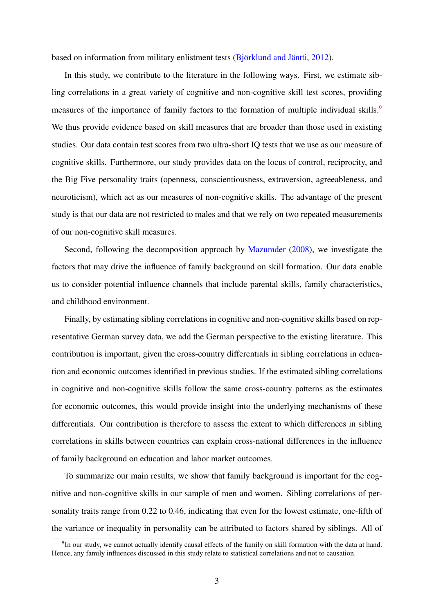based on information from military enlistment tests (Björklund and Jäntti,  $2012$ ).

In this study, we contribute to the literature in the following ways. First, we estimate sibling correlations in a great variety of cognitive and non-cognitive skill test scores, providing measures of the importance of family factors to the formation of multiple individual skills.<sup>[9](#page--1-0)</sup> We thus provide evidence based on skill measures that are broader than those used in existing studies. Our data contain test scores from two ultra-short IQ tests that we use as our measure of cognitive skills. Furthermore, our study provides data on the locus of control, reciprocity, and the Big Five personality traits (openness, conscientiousness, extraversion, agreeableness, and neuroticism), which act as our measures of non-cognitive skills. The advantage of the present study is that our data are not restricted to males and that we rely on two repeated measurements of our non-cognitive skill measures.

Second, following the decomposition approach by [Mazumder](#page-26-3) [\(2008\)](#page-26-3), we investigate the factors that may drive the influence of family background on skill formation. Our data enable us to consider potential influence channels that include parental skills, family characteristics, and childhood environment.

Finally, by estimating sibling correlations in cognitive and non-cognitive skills based on representative German survey data, we add the German perspective to the existing literature. This contribution is important, given the cross-country differentials in sibling correlations in education and economic outcomes identified in previous studies. If the estimated sibling correlations in cognitive and non-cognitive skills follow the same cross-country patterns as the estimates for economic outcomes, this would provide insight into the underlying mechanisms of these differentials. Our contribution is therefore to assess the extent to which differences in sibling correlations in skills between countries can explain cross-national differences in the influence of family background on education and labor market outcomes.

To summarize our main results, we show that family background is important for the cognitive and non-cognitive skills in our sample of men and women. Sibling correlations of personality traits range from 0.22 to 0.46, indicating that even for the lowest estimate, one-fifth of the variance or inequality in personality can be attributed to factors shared by siblings. All of

<sup>&</sup>lt;sup>9</sup>In our study, we cannot actually identify causal effects of the family on skill formation with the data at hand. Hence, any family influences discussed in this study relate to statistical correlations and not to causation.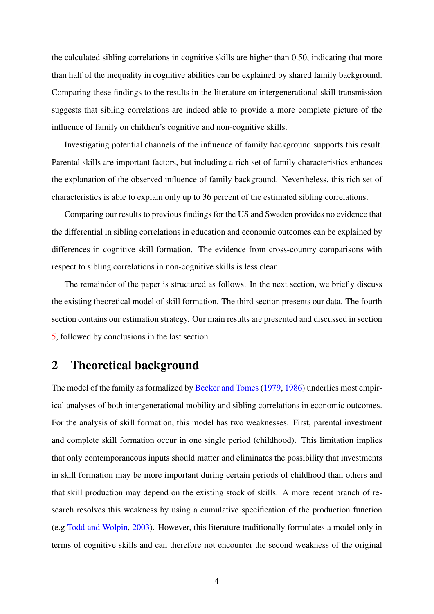the calculated sibling correlations in cognitive skills are higher than 0.50, indicating that more than half of the inequality in cognitive abilities can be explained by shared family background. Comparing these findings to the results in the literature on intergenerational skill transmission suggests that sibling correlations are indeed able to provide a more complete picture of the influence of family on children's cognitive and non-cognitive skills.

Investigating potential channels of the influence of family background supports this result. Parental skills are important factors, but including a rich set of family characteristics enhances the explanation of the observed influence of family background. Nevertheless, this rich set of characteristics is able to explain only up to 36 percent of the estimated sibling correlations.

Comparing our results to previous findings for the US and Sweden provides no evidence that the differential in sibling correlations in education and economic outcomes can be explained by differences in cognitive skill formation. The evidence from cross-country comparisons with respect to sibling correlations in non-cognitive skills is less clear.

The remainder of the paper is structured as follows. In the next section, we briefly discuss the existing theoretical model of skill formation. The third section presents our data. The fourth section contains our estimation strategy. Our main results are presented and discussed in section [5,](#page-16-0) followed by conclusions in the last section.

### 2 Theoretical background

The model of the family as formalized by [Becker and Tomes](#page-24-11) [\(1979,](#page-24-11) [1986\)](#page-24-12) underlies most empirical analyses of both intergenerational mobility and sibling correlations in economic outcomes. For the analysis of skill formation, this model has two weaknesses. First, parental investment and complete skill formation occur in one single period (childhood). This limitation implies that only contemporaneous inputs should matter and eliminates the possibility that investments in skill formation may be more important during certain periods of childhood than others and that skill production may depend on the existing stock of skills. A more recent branch of research resolves this weakness by using a cumulative specification of the production function (e.g [Todd and Wolpin,](#page-27-2) [2003\)](#page-27-2). However, this literature traditionally formulates a model only in terms of cognitive skills and can therefore not encounter the second weakness of the original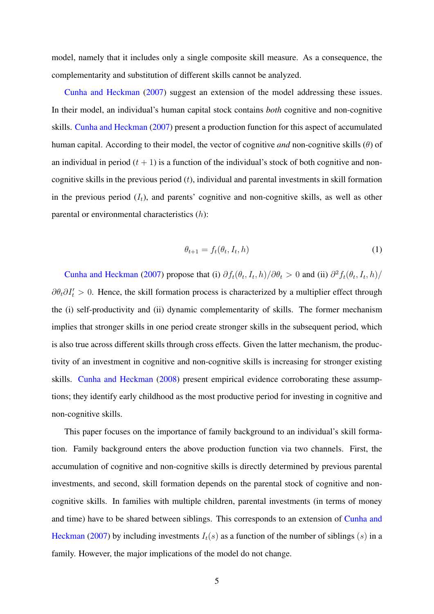model, namely that it includes only a single composite skill measure. As a consequence, the complementarity and substitution of different skills cannot be analyzed.

[Cunha and Heckman](#page-25-0) [\(2007\)](#page-25-0) suggest an extension of the model addressing these issues. In their model, an individual's human capital stock contains *both* cognitive and non-cognitive skills. [Cunha and Heckman](#page-25-0) [\(2007\)](#page-25-0) present a production function for this aspect of accumulated human capital. According to their model, the vector of cognitive *and* non-cognitive skills (θ) of an individual in period  $(t + 1)$  is a function of the individual's stock of both cognitive and noncognitive skills in the previous period  $(t)$ , individual and parental investments in skill formation in the previous period  $(I_t)$ , and parents' cognitive and non-cognitive skills, as well as other parental or environmental characteristics (h):

$$
\theta_{t+1} = f_t(\theta_t, I_t, h) \tag{1}
$$

[Cunha and Heckman](#page-25-0) [\(2007\)](#page-25-0) propose that (i)  $\partial f_t(\theta_t, I_t, h)/\partial \theta_t > 0$  and (ii)  $\partial^2 f_t(\theta_t, I_t, h)/\partial \theta_t$  $\partial \theta_t \partial I'_t > 0$ . Hence, the skill formation process is characterized by a multiplier effect through the (i) self-productivity and (ii) dynamic complementarity of skills. The former mechanism implies that stronger skills in one period create stronger skills in the subsequent period, which is also true across different skills through cross effects. Given the latter mechanism, the productivity of an investment in cognitive and non-cognitive skills is increasing for stronger existing skills. [Cunha and Heckman](#page-25-1) [\(2008\)](#page-25-1) present empirical evidence corroborating these assumptions; they identify early childhood as the most productive period for investing in cognitive and non-cognitive skills.

This paper focuses on the importance of family background to an individual's skill formation. Family background enters the above production function via two channels. First, the accumulation of cognitive and non-cognitive skills is directly determined by previous parental investments, and second, skill formation depends on the parental stock of cognitive and noncognitive skills. In families with multiple children, parental investments (in terms of money and time) have to be shared between siblings. This corresponds to an extension of [Cunha and](#page-25-0) [Heckman](#page-25-0) [\(2007\)](#page-25-0) by including investments  $I_t(s)$  as a function of the number of siblings (s) in a family. However, the major implications of the model do not change.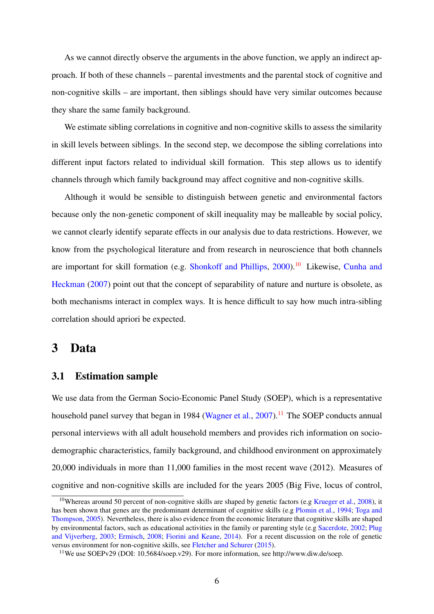As we cannot directly observe the arguments in the above function, we apply an indirect approach. If both of these channels – parental investments and the parental stock of cognitive and non-cognitive skills – are important, then siblings should have very similar outcomes because they share the same family background.

We estimate sibling correlations in cognitive and non-cognitive skills to assess the similarity in skill levels between siblings. In the second step, we decompose the sibling correlations into different input factors related to individual skill formation. This step allows us to identify channels through which family background may affect cognitive and non-cognitive skills.

Although it would be sensible to distinguish between genetic and environmental factors because only the non-genetic component of skill inequality may be malleable by social policy, we cannot clearly identify separate effects in our analysis due to data restrictions. However, we know from the psychological literature and from research in neuroscience that both channels are important for skill formation (e.g. [Shonkoff and Phillips,](#page-27-3) [2000\)](#page-27-3).<sup>[10](#page--1-0)</sup> Likewise, [Cunha and](#page-25-0) [Heckman](#page-25-0) [\(2007\)](#page-25-0) point out that the concept of separability of nature and nurture is obsolete, as both mechanisms interact in complex ways. It is hence difficult to say how much intra-sibling correlation should apriori be expected.

### <span id="page-8-0"></span>3 Data

#### 3.1 Estimation sample

We use data from the German Socio-Economic Panel Study (SOEP), which is a representative household panel survey that began in 1984 [\(Wagner et al.,](#page-27-4)  $2007$ ).<sup>[11](#page--1-0)</sup> The SOEP conducts annual personal interviews with all adult household members and provides rich information on sociodemographic characteristics, family background, and childhood environment on approximately 20,000 individuals in more than 11,000 families in the most recent wave (2012). Measures of cognitive and non-cognitive skills are included for the years 2005 (Big Five, locus of control,

<sup>&</sup>lt;sup>10</sup>Whereas around 50 percent of non-cognitive skills are shaped by genetic factors (e.g [Krueger et al.,](#page-25-7) [2008\)](#page-25-7), it has been shown that genes are the predominant determinant of cognitive skills (e.g [Plomin et al.,](#page-26-8) [1994;](#page-26-8) [Toga and](#page-27-5) [Thompson,](#page-27-5) [2005\)](#page-27-5). Nevertheless, there is also evidence from the economic literature that cognitive skills are shaped by environmental factors, such as educational activities in the family or parenting style (e.g [Sacerdote,](#page-26-9) [2002;](#page-26-9) [Plug](#page-26-10) [and Vijverberg,](#page-26-10) [2003;](#page-26-10) [Ermisch,](#page-25-8) [2008;](#page-25-8) [Fiorini and Keane,](#page-25-9) [2014\)](#page-25-9). For a recent discussion on the role of genetic versus environment for non-cognitive skills, see [Fletcher and Schurer](#page-25-10) [\(2015\)](#page-25-10).

<sup>11</sup>We use SOEPv29 (DOI: 10.5684/soep.v29). For more information, see http://www.diw.de/soep.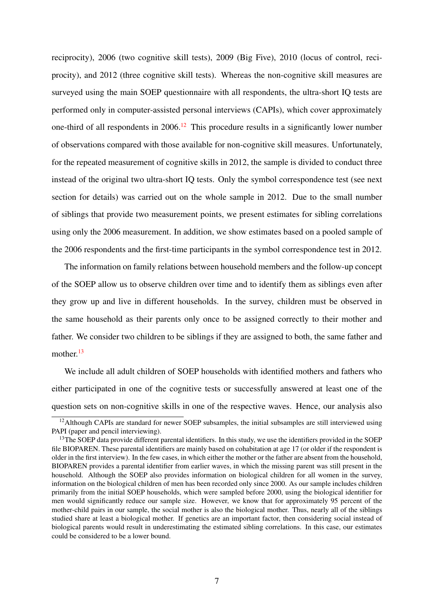reciprocity), 2006 (two cognitive skill tests), 2009 (Big Five), 2010 (locus of control, reciprocity), and 2012 (three cognitive skill tests). Whereas the non-cognitive skill measures are surveyed using the main SOEP questionnaire with all respondents, the ultra-short IQ tests are performed only in computer-assisted personal interviews (CAPIs), which cover approximately one-third of all respondents in  $2006<sup>12</sup>$  $2006<sup>12</sup>$  $2006<sup>12</sup>$ . This procedure results in a significantly lower number of observations compared with those available for non-cognitive skill measures. Unfortunately, for the repeated measurement of cognitive skills in 2012, the sample is divided to conduct three instead of the original two ultra-short IQ tests. Only the symbol correspondence test (see next section for details) was carried out on the whole sample in 2012. Due to the small number of siblings that provide two measurement points, we present estimates for sibling correlations using only the 2006 measurement. In addition, we show estimates based on a pooled sample of the 2006 respondents and the first-time participants in the symbol correspondence test in 2012.

The information on family relations between household members and the follow-up concept of the SOEP allow us to observe children over time and to identify them as siblings even after they grow up and live in different households. In the survey, children must be observed in the same household as their parents only once to be assigned correctly to their mother and father. We consider two children to be siblings if they are assigned to both, the same father and mother.<sup>[13](#page--1-0)</sup>

We include all adult children of SOEP households with identified mothers and fathers who either participated in one of the cognitive tests or successfully answered at least one of the question sets on non-cognitive skills in one of the respective waves. Hence, our analysis also

<sup>&</sup>lt;sup>12</sup>Although CAPIs are standard for newer SOEP subsamples, the initial subsamples are still interviewed using PAPI (paper and pencil interviewing).

<sup>&</sup>lt;sup>13</sup>The SOEP data provide different parental identifiers. In this study, we use the identifiers provided in the SOEP file BIOPAREN. These parental identifiers are mainly based on cohabitation at age 17 (or older if the respondent is older in the first interview). In the few cases, in which either the mother or the father are absent from the household, BIOPAREN provides a parental identifier from earlier waves, in which the missing parent was still present in the household. Although the SOEP also provides information on biological children for all women in the survey, information on the biological children of men has been recorded only since 2000. As our sample includes children primarily from the initial SOEP households, which were sampled before 2000, using the biological identifier for men would significantly reduce our sample size. However, we know that for approximately 95 percent of the mother-child pairs in our sample, the social mother is also the biological mother. Thus, nearly all of the siblings studied share at least a biological mother. If genetics are an important factor, then considering social instead of biological parents would result in underestimating the estimated sibling correlations. In this case, our estimates could be considered to be a lower bound.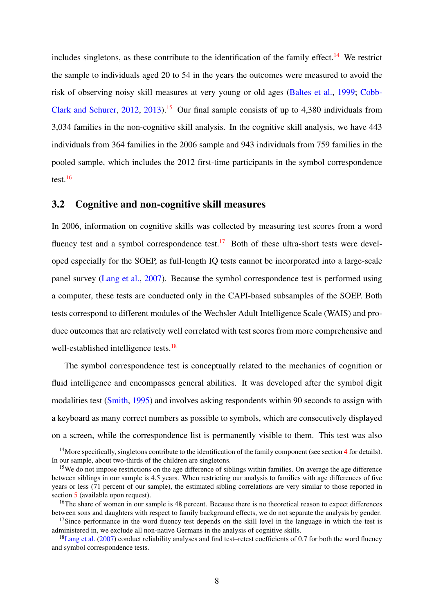includes singletons, as these contribute to the identification of the family effect.<sup>[14](#page--1-0)</sup> We restrict the sample to individuals aged 20 to 54 in the years the outcomes were measured to avoid the risk of observing noisy skill measures at very young or old ages [\(Baltes et al.,](#page-24-13) [1999;](#page-24-13) [Cobb-](#page-24-14)[Clark and Schurer,](#page-24-14) [2012,](#page-24-14) [2013\)](#page-25-11).[15](#page--1-0) Our final sample consists of up to 4,380 individuals from 3,034 families in the non-cognitive skill analysis. In the cognitive skill analysis, we have 443 individuals from 364 families in the 2006 sample and 943 individuals from 759 families in the pooled sample, which includes the 2012 first-time participants in the symbol correspondence test.[16](#page--1-0)

#### 3.2 Cognitive and non-cognitive skill measures

In 2006, information on cognitive skills was collected by measuring test scores from a word fluency test and a symbol correspondence test.<sup>[17](#page--1-0)</sup> Both of these ultra-short tests were developed especially for the SOEP, as full-length IQ tests cannot be incorporated into a large-scale panel survey [\(Lang et al.,](#page-25-12) [2007\)](#page-25-12). Because the symbol correspondence test is performed using a computer, these tests are conducted only in the CAPI-based subsamples of the SOEP. Both tests correspond to different modules of the Wechsler Adult Intelligence Scale (WAIS) and produce outcomes that are relatively well correlated with test scores from more comprehensive and well-established intelligence tests.<sup>[18](#page--1-0)</sup>

The symbol correspondence test is conceptually related to the mechanics of cognition or fluid intelligence and encompasses general abilities. It was developed after the symbol digit modalities test [\(Smith,](#page-27-6) [1995\)](#page-27-6) and involves asking respondents within 90 seconds to assign with a keyboard as many correct numbers as possible to symbols, which are consecutively displayed on a screen, while the correspondence list is permanently visible to them. This test was also

 $14$  $14$ More specifically, singletons contribute to the identification of the family component (see section 4 for details). In our sample, about two-thirds of the children are singletons.

<sup>&</sup>lt;sup>15</sup>We do not impose restrictions on the age difference of siblings within families. On average the age difference between siblings in our sample is 4.5 years. When restricting our analysis to families with age differences of five years or less (71 percent of our sample), the estimated sibling correlations are very similar to those reported in section [5](#page-16-0) (available upon request).

<sup>&</sup>lt;sup>16</sup>The share of women in our sample is 48 percent. Because there is no theoretical reason to expect differences between sons and daughters with respect to family background effects, we do not separate the analysis by gender.

<sup>&</sup>lt;sup>17</sup>Since performance in the word fluency test depends on the skill level in the language in which the test is administered in, we exclude all non-native Germans in the analysis of cognitive skills.

 $18$ [Lang et al.](#page-25-12) [\(2007\)](#page-25-12) conduct reliability analyses and find test–retest coefficients of 0.7 for both the word fluency and symbol correspondence tests.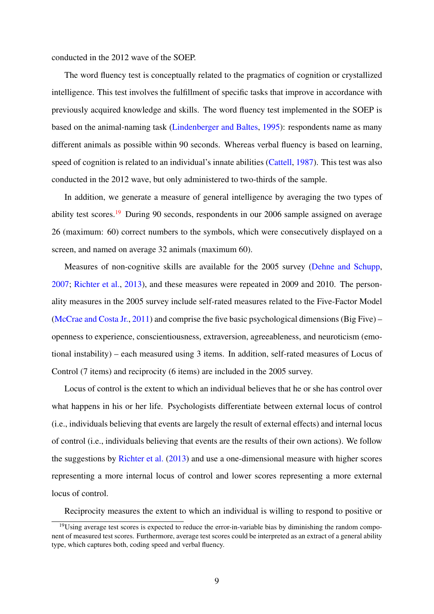conducted in the 2012 wave of the SOEP.

The word fluency test is conceptually related to the pragmatics of cognition or crystallized intelligence. This test involves the fulfillment of specific tasks that improve in accordance with previously acquired knowledge and skills. The word fluency test implemented in the SOEP is based on the animal-naming task [\(Lindenberger and Baltes,](#page-26-11) [1995\)](#page-26-11): respondents name as many different animals as possible within 90 seconds. Whereas verbal fluency is based on learning, speed of cognition is related to an individual's innate abilities [\(Cattell,](#page-24-15) [1987\)](#page-24-15). This test was also conducted in the 2012 wave, but only administered to two-thirds of the sample.

In addition, we generate a measure of general intelligence by averaging the two types of ability test scores.<sup>[19](#page--1-0)</sup> During 90 seconds, respondents in our 2006 sample assigned on average 26 (maximum: 60) correct numbers to the symbols, which were consecutively displayed on a screen, and named on average 32 animals (maximum 60).

Measures of non-cognitive skills are available for the 2005 survey [\(Dehne and Schupp,](#page-25-13) [2007;](#page-25-13) [Richter et al.,](#page-26-12) [2013\)](#page-26-12), and these measures were repeated in 2009 and 2010. The personality measures in the 2005 survey include self-rated measures related to the Five-Factor Model [\(McCrae and Costa Jr.,](#page-26-13) [2011\)](#page-26-13) and comprise the five basic psychological dimensions (Big Five) – openness to experience, conscientiousness, extraversion, agreeableness, and neuroticism (emotional instability) – each measured using 3 items. In addition, self-rated measures of Locus of Control (7 items) and reciprocity (6 items) are included in the 2005 survey.

Locus of control is the extent to which an individual believes that he or she has control over what happens in his or her life. Psychologists differentiate between external locus of control (i.e., individuals believing that events are largely the result of external effects) and internal locus of control (i.e., individuals believing that events are the results of their own actions). We follow the suggestions by [Richter et al.](#page-26-12) [\(2013\)](#page-26-12) and use a one-dimensional measure with higher scores representing a more internal locus of control and lower scores representing a more external locus of control.

Reciprocity measures the extent to which an individual is willing to respond to positive or

<sup>&</sup>lt;sup>19</sup>Using average test scores is expected to reduce the error-in-variable bias by diminishing the random component of measured test scores. Furthermore, average test scores could be interpreted as an extract of a general ability type, which captures both, coding speed and verbal fluency.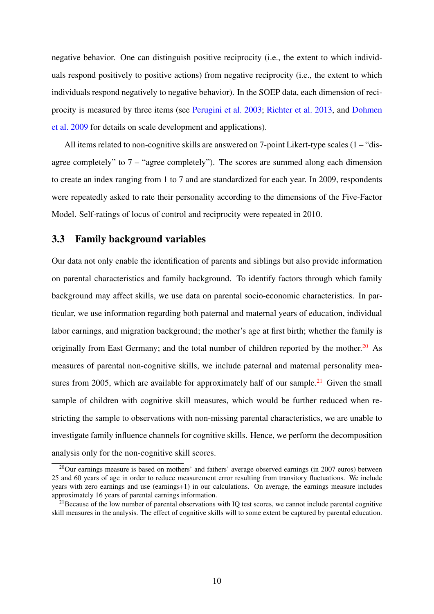negative behavior. One can distinguish positive reciprocity (i.e., the extent to which individuals respond positively to positive actions) from negative reciprocity (i.e., the extent to which individuals respond negatively to negative behavior). In the SOEP data, each dimension of reciprocity is measured by three items (see [Perugini et al.](#page-26-14) [2003;](#page-26-14) [Richter et al.](#page-26-12) [2013,](#page-26-12) and [Dohmen](#page-25-14) [et al.](#page-25-14) [2009](#page-25-14) for details on scale development and applications).

All items related to non-cognitive skills are answered on 7-point Likert-type scales (1 – "disagree completely" to 7 – "agree completely"). The scores are summed along each dimension to create an index ranging from 1 to 7 and are standardized for each year. In 2009, respondents were repeatedly asked to rate their personality according to the dimensions of the Five-Factor Model. Self-ratings of locus of control and reciprocity were repeated in 2010.

#### 3.3 Family background variables

Our data not only enable the identification of parents and siblings but also provide information on parental characteristics and family background. To identify factors through which family background may affect skills, we use data on parental socio-economic characteristics. In particular, we use information regarding both paternal and maternal years of education, individual labor earnings, and migration background; the mother's age at first birth; whether the family is originally from East Germany; and the total number of children reported by the mother.<sup>[20](#page--1-0)</sup> As measures of parental non-cognitive skills, we include paternal and maternal personality mea-sures from 2005, which are available for approximately half of our sample.<sup>[21](#page--1-0)</sup> Given the small sample of children with cognitive skill measures, which would be further reduced when restricting the sample to observations with non-missing parental characteristics, we are unable to investigate family influence channels for cognitive skills. Hence, we perform the decomposition analysis only for the non-cognitive skill scores.

 $^{20}$ Our earnings measure is based on mothers' and fathers' average observed earnings (in 2007 euros) between 25 and 60 years of age in order to reduce measurement error resulting from transitory fluctuations. We include years with zero earnings and use (earnings+1) in our calculations. On average, the earnings measure includes approximately 16 years of parental earnings information.

 $2<sup>1</sup>$  Because of the low number of parental observations with IQ test scores, we cannot include parental cognitive skill measures in the analysis. The effect of cognitive skills will to some extent be captured by parental education.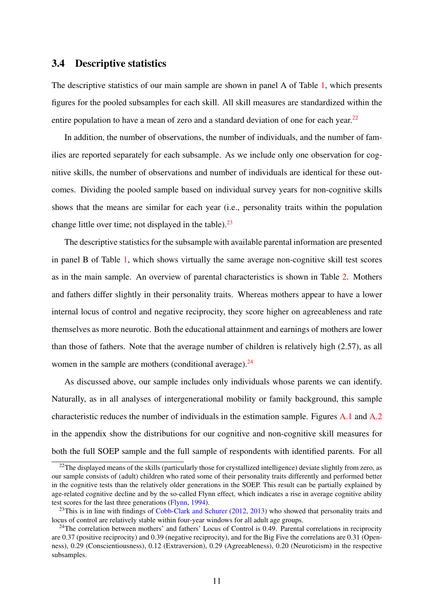#### 3.4 Descriptive statistics

The descriptive statistics of our main sample are shown in panel A of Table [1,](#page-31-0) which presents figures for the pooled subsamples for each skill. All skill measures are standardized within the entire population to have a mean of zero and a standard deviation of one for each year.<sup>[22](#page--1-0)</sup>

In addition, the number of observations, the number of individuals, and the number of families are reported separately for each subsample. As we include only one observation for cognitive skills, the number of observations and number of individuals are identical for these outcomes. Dividing the pooled sample based on individual survey years for non-cognitive skills shows that the means are similar for each year (i.e., personality traits within the population change little over time; not displayed in the table). $23$ 

The descriptive statistics for the subsample with available parental information are presented in panel B of Table [1,](#page-31-0) which shows virtually the same average non-cognitive skill test scores as in the main sample. An overview of parental characteristics is shown in Table [2.](#page-32-0) Mothers and fathers differ slightly in their personality traits. Whereas mothers appear to have a lower internal locus of control and negative reciprocity, they score higher on agreeableness and rate themselves as more neurotic. Both the educational attainment and earnings of mothers are lower than those of fathers. Note that the average number of children is relatively high (2.57), as all women in the sample are mothers (conditional average). $24$ 

As discussed above, our sample includes only individuals whose parents we can identify. Naturally, as in all analyses of intergenerational mobility or family background, this sample characteristic reduces the number of individuals in the estimation sample. Figures [A.1](#page-28-0) and [A.2](#page-29-0) in the appendix show the distributions for our cognitive and non-cognitive skill measures for both the full SOEP sample and the full sample of respondents with identified parents. For all

 $^{22}$ The displayed means of the skills (particularly those for crystallized intelligence) deviate slightly from zero, as our sample consists of (adult) children who rated some of their personality traits differently and performed better in the cognitive tests than the relatively older generations in the SOEP. This result can be partially explained by age-related cognitive decline and by the so-called Flynn effect, which indicates a rise in average cognitive ability test scores for the last three generations [\(Flynn,](#page-25-15) [1994\)](#page-25-15).

 $^{23}$ This is in line with findings of [Cobb-Clark and Schurer](#page-24-14) [\(2012,](#page-24-14) [2013\)](#page-25-11) who showed that personality traits and locus of control are relatively stable within four-year windows for all adult age groups.

 $24$ The correlation between mothers' and fathers' Locus of Control is 0.49. Parental correlations in reciprocity are 0.37 (positive reciprocity) and 0.39 (negative reciprocity), and for the Big Five the correlations are 0.31 (Openness), 0.29 (Conscientiousness), 0.12 (Extraversion), 0.29 (Agreeableness), 0.20 (Neuroticism) in the respective subsamples.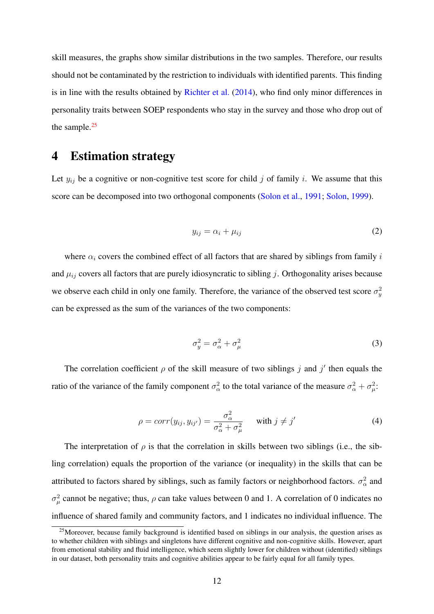skill measures, the graphs show similar distributions in the two samples. Therefore, our results should not be contaminated by the restriction to individuals with identified parents. This finding is in line with the results obtained by [Richter et al.](#page-26-15) [\(2014\)](#page-26-15), who find only minor differences in personality traits between SOEP respondents who stay in the survey and those who drop out of the sample.<sup>[25](#page--1-0)</sup>

### <span id="page-14-0"></span>4 Estimation strategy

Let  $y_{ij}$  be a cognitive or non-cognitive test score for child j of family i. We assume that this score can be decomposed into two orthogonal components [\(Solon et al.,](#page-27-7) [1991;](#page-27-7) [Solon,](#page-27-8) [1999\)](#page-27-8).

$$
y_{ij} = \alpha_i + \mu_{ij} \tag{2}
$$

where  $\alpha_i$  covers the combined effect of all factors that are shared by siblings from family i and  $\mu_{ij}$  covers all factors that are purely idiosyncratic to sibling j. Orthogonality arises because we observe each child in only one family. Therefore, the variance of the observed test score  $\sigma_y^2$ can be expressed as the sum of the variances of the two components:

$$
\sigma_y^2 = \sigma_\alpha^2 + \sigma_\mu^2 \tag{3}
$$

The correlation coefficient  $\rho$  of the skill measure of two siblings j and j' then equals the ratio of the variance of the family component  $\sigma_{\alpha}^2$  to the total variance of the measure  $\sigma_{\alpha}^2 + \sigma_{\mu}^2$ .

$$
\rho = corr(y_{ij}, y_{ij'}) = \frac{\sigma_{\alpha}^2}{\sigma_{\alpha}^2 + \sigma_{\mu}^2} \quad \text{with } j \neq j' \tag{4}
$$

The interpretation of  $\rho$  is that the correlation in skills between two siblings (i.e., the sibling correlation) equals the proportion of the variance (or inequality) in the skills that can be attributed to factors shared by siblings, such as family factors or neighborhood factors.  $\sigma_{\alpha}^2$  and  $σ<sup>2</sup><sub>μ</sub>$  cannot be negative; thus,  $ρ$  can take values between 0 and 1. A correlation of 0 indicates no influence of shared family and community factors, and 1 indicates no individual influence. The

 $25$ Moreover, because family background is identified based on siblings in our analysis, the question arises as to whether children with siblings and singletons have different cognitive and non-cognitive skills. However, apart from emotional stability and fluid intelligence, which seem slightly lower for children without (identified) siblings in our dataset, both personality traits and cognitive abilities appear to be fairly equal for all family types.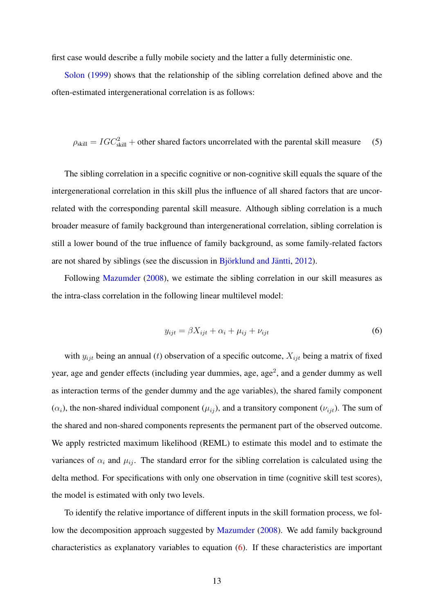first case would describe a fully mobile society and the latter a fully deterministic one.

[Solon](#page-27-8) [\(1999\)](#page-27-8) shows that the relationship of the sibling correlation defined above and the often-estimated intergenerational correlation is as follows:

<span id="page-15-1"></span> $\rho_{\text{skill}} = IGC_{\text{skill}}^2$  + other shared factors uncorrelated with the parental skill measure (5)

The sibling correlation in a specific cognitive or non-cognitive skill equals the square of the intergenerational correlation in this skill plus the influence of all shared factors that are uncorrelated with the corresponding parental skill measure. Although sibling correlation is a much broader measure of family background than intergenerational correlation, sibling correlation is still a lower bound of the true influence of family background, as some family-related factors are not shared by siblings (see the discussion in  $\overline{B}$  jörklund and Jäntti, [2012\)](#page-24-8).

Following [Mazumder](#page-26-3) [\(2008\)](#page-26-3), we estimate the sibling correlation in our skill measures as the intra-class correlation in the following linear multilevel model:

<span id="page-15-0"></span>
$$
y_{ijt} = \beta X_{ijt} + \alpha_i + \mu_{ij} + \nu_{ijt}
$$
\n<sup>(6)</sup>

with  $y_{ijt}$  being an annual (t) observation of a specific outcome,  $X_{ijt}$  being a matrix of fixed year, age and gender effects (including year dummies, age, age<sup>2</sup>, and a gender dummy as well as interaction terms of the gender dummy and the age variables), the shared family component  $(\alpha_i)$ , the non-shared individual component  $(\mu_{ij})$ , and a transitory component  $(\nu_{ijt})$ . The sum of the shared and non-shared components represents the permanent part of the observed outcome. We apply restricted maximum likelihood (REML) to estimate this model and to estimate the variances of  $\alpha_i$  and  $\mu_{ij}$ . The standard error for the sibling correlation is calculated using the delta method. For specifications with only one observation in time (cognitive skill test scores), the model is estimated with only two levels.

To identify the relative importance of different inputs in the skill formation process, we follow the decomposition approach suggested by [Mazumder](#page-26-3) [\(2008\)](#page-26-3). We add family background characteristics as explanatory variables to equation [\(6\)](#page-15-0). If these characteristics are important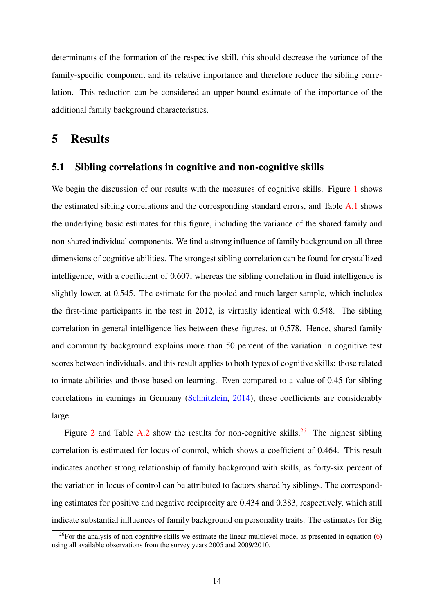determinants of the formation of the respective skill, this should decrease the variance of the family-specific component and its relative importance and therefore reduce the sibling correlation. This reduction can be considered an upper bound estimate of the importance of the additional family background characteristics.

### <span id="page-16-0"></span>5 Results

#### 5.1 Sibling correlations in cognitive and non-cognitive skills

We begin the discussion of our results with the measures of cognitive skills. Figure [1](#page-28-0) shows the estimated sibling correlations and the corresponding standard errors, and Table [A.1](#page-31-0) shows the underlying basic estimates for this figure, including the variance of the shared family and non-shared individual components. We find a strong influence of family background on all three dimensions of cognitive abilities. The strongest sibling correlation can be found for crystallized intelligence, with a coefficient of 0.607, whereas the sibling correlation in fluid intelligence is slightly lower, at 0.545. The estimate for the pooled and much larger sample, which includes the first-time participants in the test in 2012, is virtually identical with 0.548. The sibling correlation in general intelligence lies between these figures, at 0.578. Hence, shared family and community background explains more than 50 percent of the variation in cognitive test scores between individuals, and this result applies to both types of cognitive skills: those related to innate abilities and those based on learning. Even compared to a value of 0.45 for sibling correlations in earnings in Germany [\(Schnitzlein,](#page-27-0) [2014\)](#page-27-0), these coefficients are considerably large.

Figure [2](#page-29-0) and Table [A.2](#page-32-0) show the results for non-cognitive skills.<sup>[26](#page--1-0)</sup> The highest sibling correlation is estimated for locus of control, which shows a coefficient of 0.464. This result indicates another strong relationship of family background with skills, as forty-six percent of the variation in locus of control can be attributed to factors shared by siblings. The corresponding estimates for positive and negative reciprocity are 0.434 and 0.383, respectively, which still indicate substantial influences of family background on personality traits. The estimates for Big

<sup>&</sup>lt;sup>26</sup>For the analysis of non-cognitive skills we estimate the linear multilevel model as presented in equation  $(6)$ using all available observations from the survey years 2005 and 2009/2010.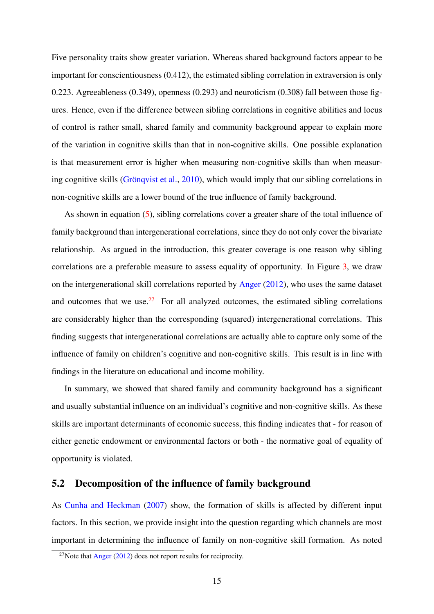Five personality traits show greater variation. Whereas shared background factors appear to be important for conscientiousness (0.412), the estimated sibling correlation in extraversion is only 0.223. Agreeableness (0.349), openness (0.293) and neuroticism (0.308) fall between those figures. Hence, even if the difference between sibling correlations in cognitive abilities and locus of control is rather small, shared family and community background appear to explain more of the variation in cognitive skills than that in non-cognitive skills. One possible explanation is that measurement error is higher when measuring non-cognitive skills than when measur-ing cognitive skills (Grönqvist et al., [2010\)](#page-25-2), which would imply that our sibling correlations in non-cognitive skills are a lower bound of the true influence of family background.

As shown in equation [\(5\)](#page-15-1), sibling correlations cover a greater share of the total influence of family background than intergenerational correlations, since they do not only cover the bivariate relationship. As argued in the introduction, this greater coverage is one reason why sibling correlations are a preferable measure to assess equality of opportunity. In Figure [3,](#page-30-0) we draw on the intergenerational skill correlations reported by [Anger](#page-24-6) [\(2012\)](#page-24-6), who uses the same dataset and outcomes that we use.<sup>[27](#page--1-0)</sup> For all analyzed outcomes, the estimated sibling correlations are considerably higher than the corresponding (squared) intergenerational correlations. This finding suggests that intergenerational correlations are actually able to capture only some of the influence of family on children's cognitive and non-cognitive skills. This result is in line with findings in the literature on educational and income mobility.

In summary, we showed that shared family and community background has a significant and usually substantial influence on an individual's cognitive and non-cognitive skills. As these skills are important determinants of economic success, this finding indicates that - for reason of either genetic endowment or environmental factors or both - the normative goal of equality of opportunity is violated.

#### 5.2 Decomposition of the influence of family background

As [Cunha and Heckman](#page-25-0) [\(2007\)](#page-25-0) show, the formation of skills is affected by different input factors. In this section, we provide insight into the question regarding which channels are most important in determining the influence of family on non-cognitive skill formation. As noted

 $27$ Note that [Anger](#page-24-6) [\(2012\)](#page-24-6) does not report results for reciprocity.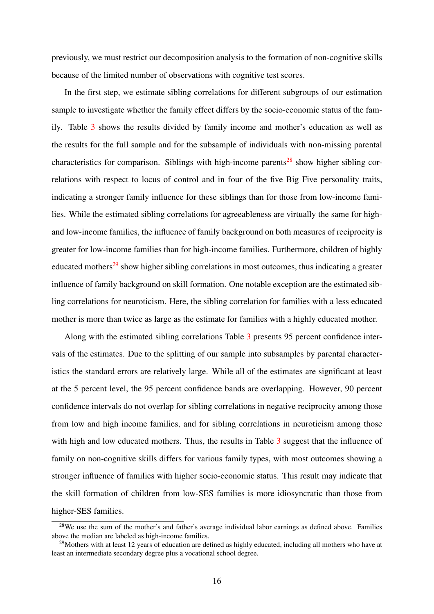previously, we must restrict our decomposition analysis to the formation of non-cognitive skills because of the limited number of observations with cognitive test scores.

In the first step, we estimate sibling correlations for different subgroups of our estimation sample to investigate whether the family effect differs by the socio-economic status of the family. Table [3](#page-33-0) shows the results divided by family income and mother's education as well as the results for the full sample and for the subsample of individuals with non-missing parental characteristics for comparison. Siblings with high-income parents<sup>[28](#page--1-0)</sup> show higher sibling correlations with respect to locus of control and in four of the five Big Five personality traits, indicating a stronger family influence for these siblings than for those from low-income families. While the estimated sibling correlations for agreeableness are virtually the same for highand low-income families, the influence of family background on both measures of reciprocity is greater for low-income families than for high-income families. Furthermore, children of highly educated mothers<sup>[29](#page--1-0)</sup> show higher sibling correlations in most outcomes, thus indicating a greater influence of family background on skill formation. One notable exception are the estimated sibling correlations for neuroticism. Here, the sibling correlation for families with a less educated mother is more than twice as large as the estimate for families with a highly educated mother.

Along with the estimated sibling correlations Table [3](#page-33-0) presents 95 percent confidence intervals of the estimates. Due to the splitting of our sample into subsamples by parental characteristics the standard errors are relatively large. While all of the estimates are significant at least at the 5 percent level, the 95 percent confidence bands are overlapping. However, 90 percent confidence intervals do not overlap for sibling correlations in negative reciprocity among those from low and high income families, and for sibling correlations in neuroticism among those with high and low educated mothers. Thus, the results in Table [3](#page-33-0) suggest that the influence of family on non-cognitive skills differs for various family types, with most outcomes showing a stronger influence of families with higher socio-economic status. This result may indicate that the skill formation of children from low-SES families is more idiosyncratic than those from higher-SES families.

<sup>&</sup>lt;sup>28</sup>We use the sum of the mother's and father's average individual labor earnings as defined above. Families above the median are labeled as high-income families.

<sup>&</sup>lt;sup>29</sup>Mothers with at least 12 years of education are defined as highly educated, including all mothers who have at least an intermediate secondary degree plus a vocational school degree.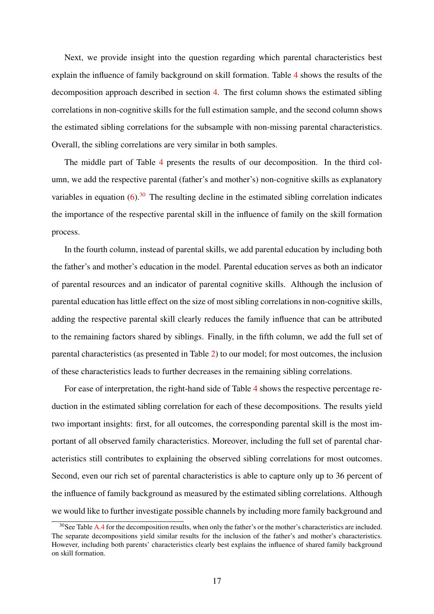Next, we provide insight into the question regarding which parental characteristics best explain the influence of family background on skill formation. Table [4](#page-34-0) shows the results of the decomposition approach described in section [4.](#page-14-0) The first column shows the estimated sibling correlations in non-cognitive skills for the full estimation sample, and the second column shows the estimated sibling correlations for the subsample with non-missing parental characteristics. Overall, the sibling correlations are very similar in both samples.

The middle part of Table [4](#page-34-0) presents the results of our decomposition. In the third column, we add the respective parental (father's and mother's) non-cognitive skills as explanatory variables in equation  $(6)$ <sup>[30](#page--1-0)</sup>. The resulting decline in the estimated sibling correlation indicates the importance of the respective parental skill in the influence of family on the skill formation process.

In the fourth column, instead of parental skills, we add parental education by including both the father's and mother's education in the model. Parental education serves as both an indicator of parental resources and an indicator of parental cognitive skills. Although the inclusion of parental education has little effect on the size of most sibling correlations in non-cognitive skills, adding the respective parental skill clearly reduces the family influence that can be attributed to the remaining factors shared by siblings. Finally, in the fifth column, we add the full set of parental characteristics (as presented in Table [2\)](#page-32-0) to our model; for most outcomes, the inclusion of these characteristics leads to further decreases in the remaining sibling correlations.

For ease of interpretation, the right-hand side of Table [4](#page-34-0) shows the respective percentage reduction in the estimated sibling correlation for each of these decompositions. The results yield two important insights: first, for all outcomes, the corresponding parental skill is the most important of all observed family characteristics. Moreover, including the full set of parental characteristics still contributes to explaining the observed sibling correlations for most outcomes. Second, even our rich set of parental characteristics is able to capture only up to 36 percent of the influence of family background as measured by the estimated sibling correlations. Although we would like to further investigate possible channels by including more family background and

<sup>&</sup>lt;sup>30</sup>See Table [A.4](#page-34-0) for the decomposition results, when only the father's or the mother's characteristics are included. The separate decompositions yield similar results for the inclusion of the father's and mother's characteristics. However, including both parents' characteristics clearly best explains the influence of shared family background on skill formation.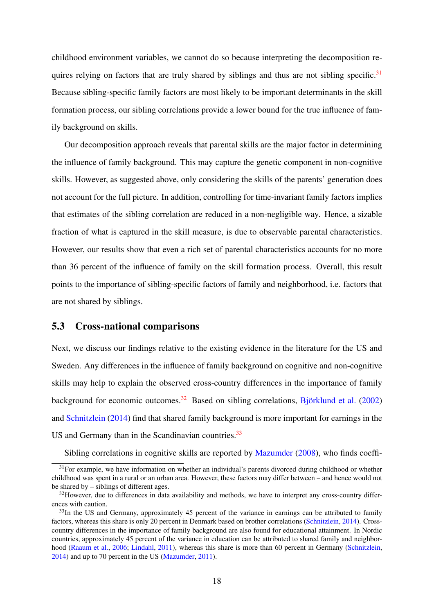childhood environment variables, we cannot do so because interpreting the decomposition re-quires relying on factors that are truly shared by siblings and thus are not sibling specific.<sup>[31](#page--1-0)</sup> Because sibling-specific family factors are most likely to be important determinants in the skill formation process, our sibling correlations provide a lower bound for the true influence of family background on skills.

Our decomposition approach reveals that parental skills are the major factor in determining the influence of family background. This may capture the genetic component in non-cognitive skills. However, as suggested above, only considering the skills of the parents' generation does not account for the full picture. In addition, controlling for time-invariant family factors implies that estimates of the sibling correlation are reduced in a non-negligible way. Hence, a sizable fraction of what is captured in the skill measure, is due to observable parental characteristics. However, our results show that even a rich set of parental characteristics accounts for no more than 36 percent of the influence of family on the skill formation process. Overall, this result points to the importance of sibling-specific factors of family and neighborhood, i.e. factors that are not shared by siblings.

#### 5.3 Cross-national comparisons

Next, we discuss our findings relative to the existing evidence in the literature for the US and Sweden. Any differences in the influence of family background on cognitive and non-cognitive skills may help to explain the observed cross-country differences in the importance of family background for economic outcomes.<sup>[32](#page--1-0)</sup> Based on sibling correlations, Björklund et al.  $(2002)$ and [Schnitzlein](#page-27-0) [\(2014\)](#page-27-0) find that shared family background is more important for earnings in the US and Germany than in the Scandinavian countries.<sup>[33](#page--1-0)</sup>

Sibling correlations in cognitive skills are reported by [Mazumder](#page-26-3) [\(2008\)](#page-26-3), who finds coeffi-

 $31$  For example, we have information on whether an individual's parents divorced during childhood or whether childhood was spent in a rural or an urban area. However, these factors may differ between – and hence would not be shared by – siblings of different ages.

<sup>&</sup>lt;sup>32</sup>However, due to differences in data availability and methods, we have to interpret any cross-country differences with caution.

<sup>&</sup>lt;sup>33</sup>In the US and Germany, approximately 45 percent of the variance in earnings can be attributed to family factors, whereas this share is only 20 percent in Denmark based on brother correlations [\(Schnitzlein,](#page-27-0) [2014\)](#page-27-0). Crosscountry differences in the importance of family background are also found for educational attainment. In Nordic countries, approximately 45 percent of the variance in education can be attributed to shared family and neighborhood [\(Raaum et al.,](#page-26-16) [2006;](#page-26-16) [Lindahl,](#page-26-7) [2011\)](#page-26-7), whereas this share is more than 60 percent in Germany [\(Schnitzlein,](#page-27-0) [2014\)](#page-27-0) and up to 70 percent in the US [\(Mazumder,](#page-26-17) [2011\)](#page-26-17).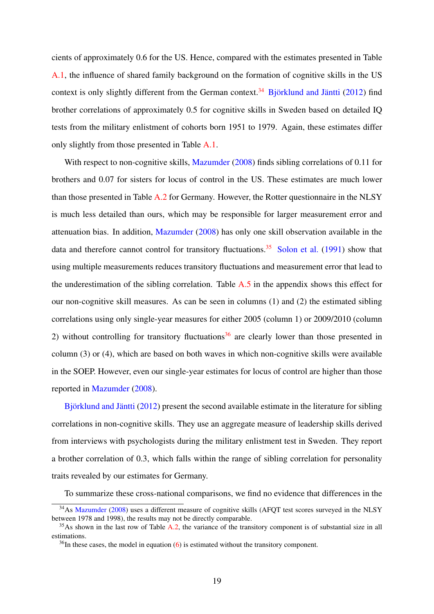cients of approximately 0.6 for the US. Hence, compared with the estimates presented in Table [A.1,](#page-31-0) the influence of shared family background on the formation of cognitive skills in the US context is only slightly different from the German context.<sup>[34](#page--1-0)</sup> Björklund and Jäntti  $(2012)$  find brother correlations of approximately 0.5 for cognitive skills in Sweden based on detailed IQ tests from the military enlistment of cohorts born 1951 to 1979. Again, these estimates differ only slightly from those presented in Table [A.1.](#page-31-0)

With respect to non-cognitive skills, [Mazumder](#page-26-3) [\(2008\)](#page-26-3) finds sibling correlations of 0.11 for brothers and 0.07 for sisters for locus of control in the US. These estimates are much lower than those presented in Table [A.2](#page-32-0) for Germany. However, the Rotter questionnaire in the NLSY is much less detailed than ours, which may be responsible for larger measurement error and attenuation bias. In addition, [Mazumder](#page-26-3) [\(2008\)](#page-26-3) has only one skill observation available in the data and therefore cannot control for transitory fluctuations.<sup>[35](#page--1-0)</sup> [Solon et al.](#page-27-7) [\(1991\)](#page-27-7) show that using multiple measurements reduces transitory fluctuations and measurement error that lead to the underestimation of the sibling correlation. Table [A.5](#page-41-0) in the appendix shows this effect for our non-cognitive skill measures. As can be seen in columns (1) and (2) the estimated sibling correlations using only single-year measures for either 2005 (column 1) or 2009/2010 (column 2) without controlling for transitory fluctuations<sup>[36](#page--1-0)</sup> are clearly lower than those presented in column (3) or (4), which are based on both waves in which non-cognitive skills were available in the SOEP. However, even our single-year estimates for locus of control are higher than those reported in [Mazumder](#page-26-3) [\(2008\)](#page-26-3).

Björklund and Jäntti  $(2012)$  present the second available estimate in the literature for sibling correlations in non-cognitive skills. They use an aggregate measure of leadership skills derived from interviews with psychologists during the military enlistment test in Sweden. They report a brother correlation of 0.3, which falls within the range of sibling correlation for personality traits revealed by our estimates for Germany.

To summarize these cross-national comparisons, we find no evidence that differences in the

<sup>&</sup>lt;sup>34</sup>As [Mazumder](#page-26-3) [\(2008\)](#page-26-3) uses a different measure of cognitive skills (AFQT test scores surveyed in the NLSY between 1978 and 1998), the results may not be directly comparable.

<sup>&</sup>lt;sup>35</sup>As shown in the last row of Table [A.2,](#page-32-0) the variance of the transitory component is of substantial size in all estimations.

 $36$ In these cases, the model in equation [\(6\)](#page-15-0) is estimated without the transitory component.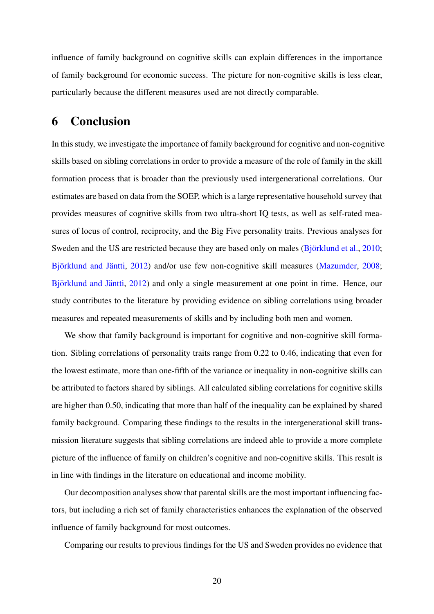influence of family background on cognitive skills can explain differences in the importance of family background for economic success. The picture for non-cognitive skills is less clear, particularly because the different measures used are not directly comparable.

### 6 Conclusion

In this study, we investigate the importance of family background for cognitive and non-cognitive skills based on sibling correlations in order to provide a measure of the role of family in the skill formation process that is broader than the previously used intergenerational correlations. Our estimates are based on data from the SOEP, which is a large representative household survey that provides measures of cognitive skills from two ultra-short IQ tests, as well as self-rated measures of locus of control, reciprocity, and the Big Five personality traits. Previous analyses for Sweden and the US are restricted because they are based only on males  $(Björklund et al., 2010;$  $(Björklund et al., 2010;$ Björklund and Jäntti, [2012\)](#page-24-8) and/or use few non-cognitive skill measures [\(Mazumder,](#page-26-3) [2008;](#page-26-3) Björklund and Jäntti, [2012\)](#page-24-8) and only a single measurement at one point in time. Hence, our study contributes to the literature by providing evidence on sibling correlations using broader measures and repeated measurements of skills and by including both men and women.

We show that family background is important for cognitive and non-cognitive skill formation. Sibling correlations of personality traits range from 0.22 to 0.46, indicating that even for the lowest estimate, more than one-fifth of the variance or inequality in non-cognitive skills can be attributed to factors shared by siblings. All calculated sibling correlations for cognitive skills are higher than 0.50, indicating that more than half of the inequality can be explained by shared family background. Comparing these findings to the results in the intergenerational skill transmission literature suggests that sibling correlations are indeed able to provide a more complete picture of the influence of family on children's cognitive and non-cognitive skills. This result is in line with findings in the literature on educational and income mobility.

Our decomposition analyses show that parental skills are the most important influencing factors, but including a rich set of family characteristics enhances the explanation of the observed influence of family background for most outcomes.

Comparing our results to previous findings for the US and Sweden provides no evidence that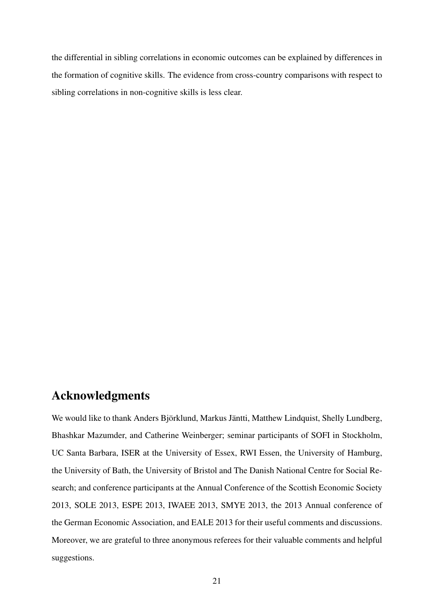the differential in sibling correlations in economic outcomes can be explained by differences in the formation of cognitive skills. The evidence from cross-country comparisons with respect to sibling correlations in non-cognitive skills is less clear.

### Acknowledgments

We would like to thank Anders Björklund, Markus Jäntti, Matthew Lindquist, Shelly Lundberg, Bhashkar Mazumder, and Catherine Weinberger; seminar participants of SOFI in Stockholm, UC Santa Barbara, ISER at the University of Essex, RWI Essen, the University of Hamburg, the University of Bath, the University of Bristol and The Danish National Centre for Social Research; and conference participants at the Annual Conference of the Scottish Economic Society 2013, SOLE 2013, ESPE 2013, IWAEE 2013, SMYE 2013, the 2013 Annual conference of the German Economic Association, and EALE 2013 for their useful comments and discussions. Moreover, we are grateful to three anonymous referees for their valuable comments and helpful suggestions.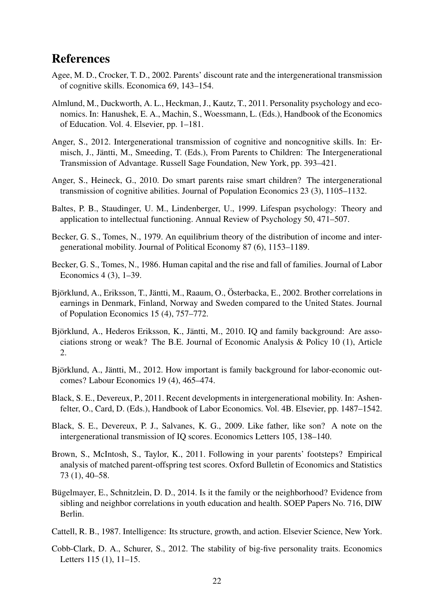### References

- <span id="page-24-3"></span>Agee, M. D., Crocker, T. D., 2002. Parents' discount rate and the intergenerational transmission of cognitive skills. Economica 69, 143–154.
- <span id="page-24-7"></span>Almlund, M., Duckworth, A. L., Heckman, J., Kautz, T., 2011. Personality psychology and economics. In: Hanushek, E. A., Machin, S., Woessmann, L. (Eds.), Handbook of the Economics of Education. Vol. 4. Elsevier, pp. 1–181.
- <span id="page-24-6"></span>Anger, S., 2012. Intergenerational transmission of cognitive and noncognitive skills. In: Ermisch, J., Jäntti, M., Smeeding, T. (Eds.), From Parents to Children: The Intergenerational Transmission of Advantage. Russell Sage Foundation, New York, pp. 393–421.
- <span id="page-24-5"></span>Anger, S., Heineck, G., 2010. Do smart parents raise smart children? The intergenerational transmission of cognitive abilities. Journal of Population Economics 23 (3), 1105–1132.
- <span id="page-24-13"></span>Baltes, P. B., Staudinger, U. M., Lindenberger, U., 1999. Lifespan psychology: Theory and application to intellectual functioning. Annual Review of Psychology 50, 471–507.
- <span id="page-24-11"></span>Becker, G. S., Tomes, N., 1979. An equilibrium theory of the distribution of income and intergenerational mobility. Journal of Political Economy 87 (6), 1153–1189.
- <span id="page-24-12"></span>Becker, G. S., Tomes, N., 1986. Human capital and the rise and fall of families. Journal of Labor Economics 4 (3), 1–39.
- <span id="page-24-9"></span>Björklund, A., Eriksson, T., Jäntti, M., Raaum, O., Österbacka, E., 2002. Brother correlations in earnings in Denmark, Finland, Norway and Sweden compared to the United States. Journal of Population Economics 15 (4), 757–772.
- <span id="page-24-2"></span>Björklund, A., Hederos Eriksson, K., Jäntti, M., 2010. IQ and family background: Are associations strong or weak? The B.E. Journal of Economic Analysis & Policy 10 (1), Article 2.
- <span id="page-24-8"></span>Björklund, A., Jäntti, M., 2012. How important is family background for labor-economic outcomes? Labour Economics 19 (4), 465–474.
- <span id="page-24-0"></span>Black, S. E., Devereux, P., 2011. Recent developments in intergenerational mobility. In: Ashenfelter, O., Card, D. (Eds.), Handbook of Labor Economics. Vol. 4B. Elsevier, pp. 1487–1542.
- <span id="page-24-1"></span>Black, S. E., Devereux, P. J., Salvanes, K. G., 2009. Like father, like son? A note on the intergenerational transmission of IQ scores. Economics Letters 105, 138–140.
- <span id="page-24-4"></span>Brown, S., McIntosh, S., Taylor, K., 2011. Following in your parents' footsteps? Empirical analysis of matched parent-offspring test scores. Oxford Bulletin of Economics and Statistics 73 (1), 40–58.
- <span id="page-24-10"></span>Bügelmayer, E., Schnitzlein, D. D., 2014. Is it the family or the neighborhood? Evidence from sibling and neighbor correlations in youth education and health. SOEP Papers No. 716, DIW Berlin.
- <span id="page-24-15"></span>Cattell, R. B., 1987. Intelligence: Its structure, growth, and action. Elsevier Science, New York.
- <span id="page-24-14"></span>Cobb-Clark, D. A., Schurer, S., 2012. The stability of big-five personality traits. Economics Letters 115 (1), 11–15.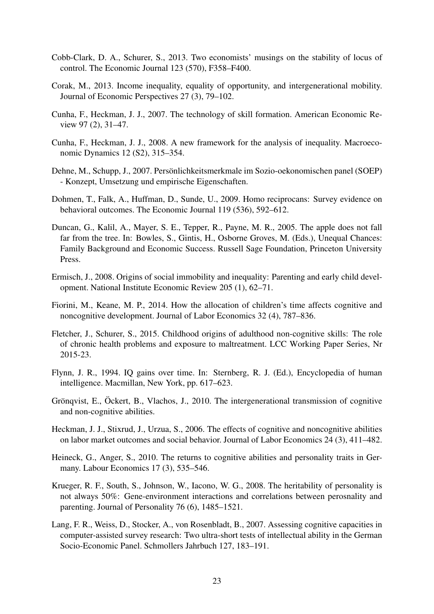- <span id="page-25-11"></span>Cobb-Clark, D. A., Schurer, S., 2013. Two economists' musings on the stability of locus of control. The Economic Journal 123 (570), F358–F400.
- <span id="page-25-6"></span>Corak, M., 2013. Income inequality, equality of opportunity, and intergenerational mobility. Journal of Economic Perspectives 27 (3), 79–102.
- <span id="page-25-0"></span>Cunha, F., Heckman, J. J., 2007. The technology of skill formation. American Economic Review 97 (2), 31–47.
- <span id="page-25-1"></span>Cunha, F., Heckman, J. J., 2008. A new framework for the analysis of inequality. Macroeconomic Dynamics 12 (S2), 315–354.
- <span id="page-25-13"></span>Dehne, M., Schupp, J., 2007. Persönlichkeitsmerkmale im Sozio-oekonomischen panel (SOEP) - Konzept, Umsetzung und empirische Eigenschaften.
- <span id="page-25-14"></span>Dohmen, T., Falk, A., Huffman, D., Sunde, U., 2009. Homo reciprocans: Survey evidence on behavioral outcomes. The Economic Journal 119 (536), 592–612.
- <span id="page-25-3"></span>Duncan, G., Kalil, A., Mayer, S. E., Tepper, R., Payne, M. R., 2005. The apple does not fall far from the tree. In: Bowles, S., Gintis, H., Osborne Groves, M. (Eds.), Unequal Chances: Family Background and Economic Success. Russell Sage Foundation, Princeton University Press.
- <span id="page-25-8"></span>Ermisch, J., 2008. Origins of social immobility and inequality: Parenting and early child development. National Institute Economic Review 205 (1), 62–71.
- <span id="page-25-9"></span>Fiorini, M., Keane, M. P., 2014. How the allocation of children's time affects cognitive and noncognitive development. Journal of Labor Economics 32 (4), 787–836.
- <span id="page-25-10"></span>Fletcher, J., Schurer, S., 2015. Childhood origins of adulthood non-cognitive skills: The role of chronic health problems and exposure to maltreatment. LCC Working Paper Series, Nr 2015-23.
- <span id="page-25-15"></span>Flynn, J. R., 1994. IQ gains over time. In: Sternberg, R. J. (Ed.), Encyclopedia of human intelligence. Macmillan, New York, pp. 617–623.
- <span id="page-25-2"></span>Grönqvist, E., Ockert, B., Vlachos, J., 2010. The intergenerational transmission of cognitive and non-cognitive abilities.
- <span id="page-25-4"></span>Heckman, J. J., Stixrud, J., Urzua, S., 2006. The effects of cognitive and noncognitive abilities on labor market outcomes and social behavior. Journal of Labor Economics 24 (3), 411–482.
- <span id="page-25-5"></span>Heineck, G., Anger, S., 2010. The returns to cognitive abilities and personality traits in Germany. Labour Economics 17 (3), 535–546.
- <span id="page-25-7"></span>Krueger, R. F., South, S., Johnson, W., Iacono, W. G., 2008. The heritability of personality is not always 50%: Gene-environment interactions and correlations between perosnality and parenting. Journal of Personality 76 (6), 1485–1521.
- <span id="page-25-12"></span>Lang, F. R., Weiss, D., Stocker, A., von Rosenbladt, B., 2007. Assessing cognitive capacities in computer-assisted survey research: Two ultra-short tests of intellectual ability in the German Socio-Economic Panel. Schmollers Jahrbuch 127, 183–191.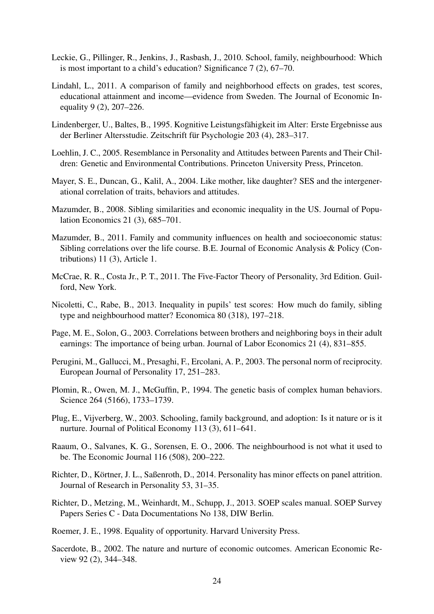- <span id="page-26-5"></span>Leckie, G., Pillinger, R., Jenkins, J., Rasbash, J., 2010. School, family, neighbourhood: Which is most important to a child's education? Significance 7 (2), 67–70.
- <span id="page-26-7"></span>Lindahl, L., 2011. A comparison of family and neighborhood effects on grades, test scores, educational attainment and income—evidence from Sweden. The Journal of Economic Inequality 9 (2), 207–226.
- <span id="page-26-11"></span>Lindenberger, U., Baltes, B., 1995. Kognitive Leistungsfahigkeit im Alter: Erste Ergebnisse aus ¨ der Berliner Altersstudie. Zeitschrift für Psychologie 203 (4), 283–317.
- <span id="page-26-2"></span>Loehlin, J. C., 2005. Resemblance in Personality and Attitudes between Parents and Their Children: Genetic and Environmental Contributions. Princeton University Press, Princeton.
- <span id="page-26-1"></span>Mayer, S. E., Duncan, G., Kalil, A., 2004. Like mother, like daughter? SES and the intergenerational correlation of traits, behaviors and attitudes.
- <span id="page-26-3"></span>Mazumder, B., 2008. Sibling similarities and economic inequality in the US. Journal of Population Economics 21 (3), 685–701.
- <span id="page-26-17"></span>Mazumder, B., 2011. Family and community influences on health and socioeconomic status: Sibling correlations over the life course. B.E. Journal of Economic Analysis & Policy (Contributions) 11 (3), Article 1.
- <span id="page-26-13"></span>McCrae, R. R., Costa Jr., P. T., 2011. The Five-Factor Theory of Personality, 3rd Edition. Guilford, New York.
- <span id="page-26-6"></span>Nicoletti, C., Rabe, B., 2013. Inequality in pupils' test scores: How much do family, sibling type and neighbourhood matter? Economica 80 (318), 197–218.
- <span id="page-26-4"></span>Page, M. E., Solon, G., 2003. Correlations between brothers and neighboring boys in their adult earnings: The importance of being urban. Journal of Labor Economics 21 (4), 831–855.
- <span id="page-26-14"></span>Perugini, M., Gallucci, M., Presaghi, F., Ercolani, A. P., 2003. The personal norm of reciprocity. European Journal of Personality 17, 251–283.
- <span id="page-26-8"></span>Plomin, R., Owen, M. J., McGuffin, P., 1994. The genetic basis of complex human behaviors. Science 264 (5166), 1733–1739.
- <span id="page-26-10"></span>Plug, E., Vijverberg, W., 2003. Schooling, family background, and adoption: Is it nature or is it nurture. Journal of Political Economy 113 (3), 611–641.
- <span id="page-26-16"></span>Raaum, O., Salvanes, K. G., Sorensen, E. O., 2006. The neighbourhood is not what it used to be. The Economic Journal 116 (508), 200–222.
- <span id="page-26-15"></span>Richter, D., Körtner, J. L., Saßenroth, D., 2014. Personality has minor effects on panel attrition. Journal of Research in Personality 53, 31–35.
- <span id="page-26-12"></span>Richter, D., Metzing, M., Weinhardt, M., Schupp, J., 2013. SOEP scales manual. SOEP Survey Papers Series C - Data Documentations No 138, DIW Berlin.
- <span id="page-26-0"></span>Roemer, J. E., 1998. Equality of opportunity. Harvard University Press.
- <span id="page-26-9"></span>Sacerdote, B., 2002. The nature and nurture of economic outcomes. American Economic Review 92 (2), 344–348.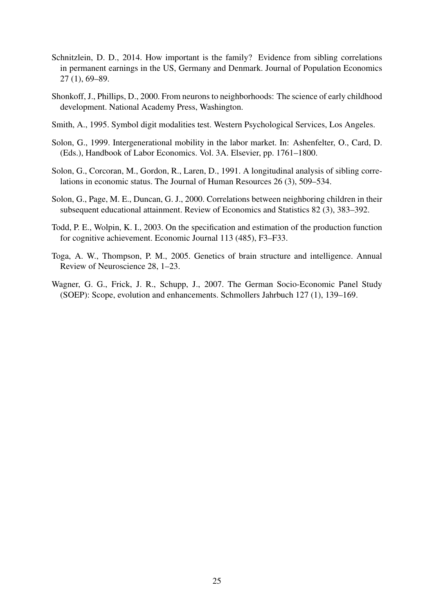- <span id="page-27-0"></span>Schnitzlein, D. D., 2014. How important is the family? Evidence from sibling correlations in permanent earnings in the US, Germany and Denmark. Journal of Population Economics 27 (1), 69–89.
- <span id="page-27-3"></span>Shonkoff, J., Phillips, D., 2000. From neurons to neighborhoods: The science of early childhood development. National Academy Press, Washington.
- <span id="page-27-6"></span>Smith, A., 1995. Symbol digit modalities test. Western Psychological Services, Los Angeles.
- <span id="page-27-8"></span>Solon, G., 1999. Intergenerational mobility in the labor market. In: Ashenfelter, O., Card, D. (Eds.), Handbook of Labor Economics. Vol. 3A. Elsevier, pp. 1761–1800.
- <span id="page-27-7"></span>Solon, G., Corcoran, M., Gordon, R., Laren, D., 1991. A longitudinal analysis of sibling correlations in economic status. The Journal of Human Resources 26 (3), 509–534.
- <span id="page-27-1"></span>Solon, G., Page, M. E., Duncan, G. J., 2000. Correlations between neighboring children in their subsequent educational attainment. Review of Economics and Statistics 82 (3), 383–392.
- <span id="page-27-2"></span>Todd, P. E., Wolpin, K. I., 2003. On the specification and estimation of the production function for cognitive achievement. Economic Journal 113 (485), F3–F33.
- <span id="page-27-5"></span>Toga, A. W., Thompson, P. M., 2005. Genetics of brain structure and intelligence. Annual Review of Neuroscience 28, 1–23.
- <span id="page-27-4"></span>Wagner, G. G., Frick, J. R., Schupp, J., 2007. The German Socio-Economic Panel Study (SOEP): Scope, evolution and enhancements. Schmollers Jahrbuch 127 (1), 139–169.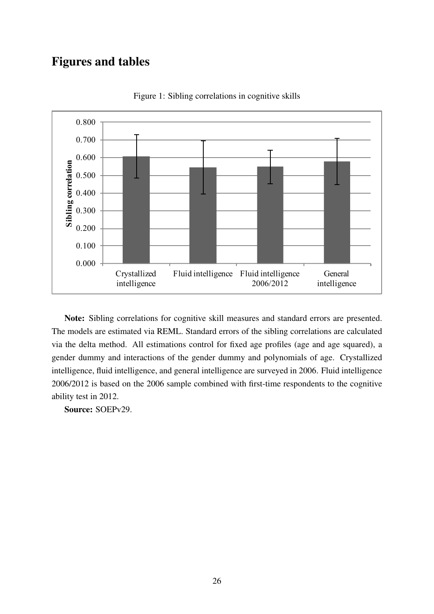## Figures and tables



<span id="page-28-0"></span>Figure 1: Sibling correlations in cognitive skills

Note: Sibling correlations for cognitive skill measures and standard errors are presented. The models are estimated via REML. Standard errors of the sibling correlations are calculated via the delta method. All estimations control for fixed age profiles (age and age squared), a gender dummy and interactions of the gender dummy and polynomials of age. Crystallized intelligence, fluid intelligence, and general intelligence are surveyed in 2006. Fluid intelligence 2006/2012 is based on the 2006 sample combined with first-time respondents to the cognitive ability test in 2012.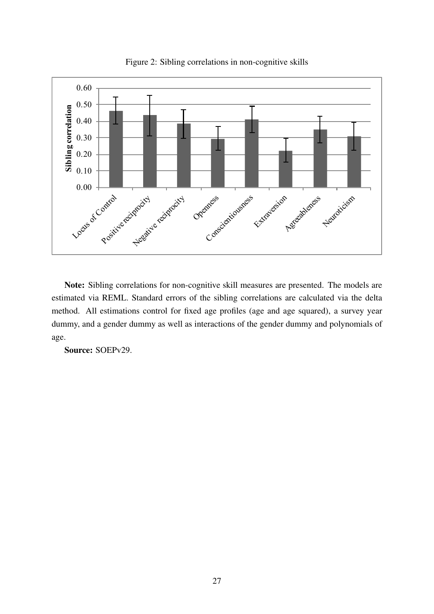

<span id="page-29-0"></span>Figure 2: Sibling correlations in non-cognitive skills

Note: Sibling correlations for non-cognitive skill measures are presented. The models are estimated via REML. Standard errors of the sibling correlations are calculated via the delta method. All estimations control for fixed age profiles (age and age squared), a survey year dummy, and a gender dummy as well as interactions of the gender dummy and polynomials of age.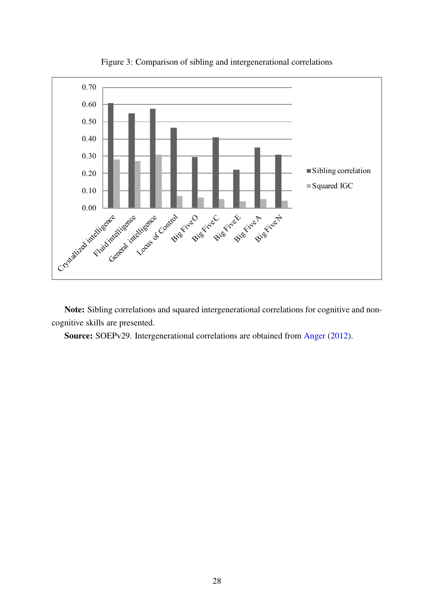

<span id="page-30-0"></span>Figure 3: Comparison of sibling and intergenerational correlations

Note: Sibling correlations and squared intergenerational correlations for cognitive and noncognitive skills are presented.

Source: SOEPv29. Intergenerational correlations are obtained from [Anger](#page-24-6) [\(2012\)](#page-24-6).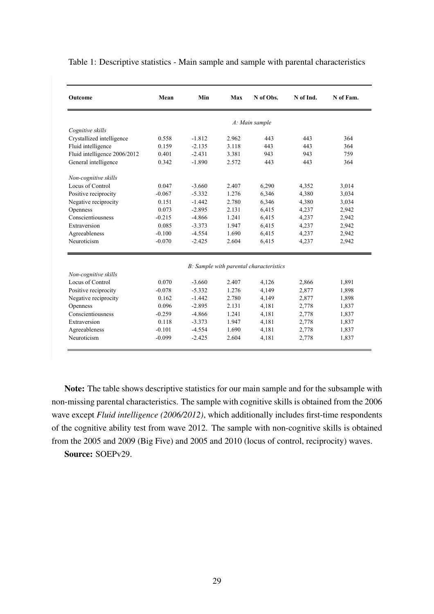| Outcome                      | Mean     | Min      | Max   | N of Obs.                               | N of Ind. | N of Fam. |
|------------------------------|----------|----------|-------|-----------------------------------------|-----------|-----------|
|                              |          |          |       | A: Main sample                          |           |           |
| Cognitive skills             |          |          |       |                                         |           |           |
| Crystallized intelligence    | 0.558    | $-1.812$ | 2.962 | 443                                     | 443       | 364       |
| Fluid intelligence           | 0.159    | $-2.135$ | 3.118 | 443                                     | 443       | 364       |
| Fluid intelligence 2006/2012 | 0.401    | $-2.431$ | 3.381 | 943                                     | 943       | 759       |
| General intelligence         | 0.342    | $-1.890$ | 2.572 | 443                                     | 443       | 364       |
| Non-cognitive skills         |          |          |       |                                         |           |           |
| Locus of Control             | 0.047    | $-3.660$ | 2.407 | 6,290                                   | 4,352     | 3,014     |
| Positive reciprocity         | $-0.067$ | $-5.332$ | 1.276 | 6,346                                   | 4,380     | 3,034     |
| Negative reciprocity         | 0.151    | $-1.442$ | 2.780 | 6,346                                   | 4,380     | 3,034     |
| Openness                     | 0.073    | $-2.895$ | 2.131 | 6,415                                   | 4,237     | 2,942     |
| Conscientiousness            | $-0.215$ | $-4.866$ | 1.241 | 6,415                                   | 4,237     | 2,942     |
| Extraversion                 | 0.085    | $-3.373$ | 1.947 | 6,415                                   | 4,237     | 2,942     |
| Agreeableness                | $-0.100$ | $-4.554$ | 1.690 | 6,415                                   | 4,237     | 2,942     |
| Neuroticism                  | $-0.070$ | $-2.425$ | 2.604 | 6,415                                   | 4,237     | 2,942     |
|                              |          |          |       |                                         |           |           |
|                              |          |          |       | B: Sample with parental characteristics |           |           |
| Non-cognitive skills         |          |          |       |                                         |           |           |
| Locus of Control             | 0.070    | $-3.660$ | 2.407 | 4,126                                   | 2,866     | 1,891     |
| Positive reciprocity         | $-0.078$ | $-5.332$ | 1.276 | 4,149                                   | 2,877     | 1,898     |
| Negative reciprocity         | 0.162    | $-1.442$ | 2.780 | 4,149                                   | 2,877     | 1,898     |
| Openness                     | 0.096    | $-2.895$ | 2.131 | 4,181                                   | 2,778     | 1,837     |
| Conscientiousness            | $-0.259$ | $-4.866$ | 1.241 | 4,181                                   | 2,778     | 1,837     |
| Extraversion                 | 0.118    | $-3.373$ | 1.947 | 4,181                                   | 2,778     | 1,837     |
| Agreeableness                | $-0.101$ | $-4.554$ | 1.690 | 4,181                                   | 2,778     | 1,837     |
| Neuroticism                  | $-0.099$ | $-2.425$ | 2.604 | 4,181                                   | 2,778     | 1,837     |

<span id="page-31-0"></span>Table 1: Descriptive statistics - Main sample and sample with parental characteristics

Note: The table shows descriptive statistics for our main sample and for the subsample with non-missing parental characteristics. The sample with cognitive skills is obtained from the 2006 wave except *Fluid intelligence (2006/2012)*, which additionally includes first-time respondents of the cognitive ability test from wave 2012. The sample with non-cognitive skills is obtained from the 2005 and 2009 (Big Five) and 2005 and 2010 (locus of control, reciprocity) waves.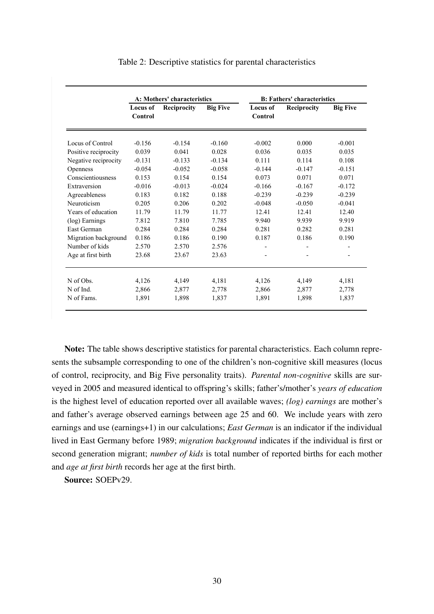|                      | A: Mothers' characteristics |             |                 | <b>B: Fathers' characteristics</b> |             |                          |  |
|----------------------|-----------------------------|-------------|-----------------|------------------------------------|-------------|--------------------------|--|
|                      | <b>Locus of</b><br>Control  | Reciprocity | <b>Big Five</b> | <b>Locus of</b><br>Control         | Reciprocity | <b>Big Five</b>          |  |
| Locus of Control     | $-0.156$                    | $-0.154$    | $-0.160$        | $-0.002$                           | 0.000       | $-0.001$                 |  |
| Positive reciprocity | 0.039                       | 0.041       | 0.028           | 0.036                              | 0.035       | 0.035                    |  |
| Negative reciprocity | $-0.131$                    | $-0.133$    | $-0.134$        | 0.111                              | 0.114       | 0.108                    |  |
| Openness             | $-0.054$                    | $-0.052$    | $-0.058$        | $-0.144$                           | $-0.147$    | $-0.151$                 |  |
| Conscientiousness    | 0.153                       | 0.154       | 0.154           | 0.073                              | 0.071       | 0.071                    |  |
| Extraversion         | $-0.016$                    | $-0.013$    | $-0.024$        | $-0.166$                           | $-0.167$    | $-0.172$                 |  |
| Agreeableness        | 0.183                       | 0.182       | 0.188           | $-0.239$                           | $-0.239$    | $-0.239$                 |  |
| Neuroticism          | 0.205                       | 0.206       | 0.202           | $-0.048$                           | $-0.050$    | $-0.041$                 |  |
| Years of education   | 11.79                       | 11.79       | 11.77           | 12.41                              | 12.41       | 12.40                    |  |
| (log) Earnings       | 7.812                       | 7.810       | 7.785           | 9.940                              | 9.939       | 9.919                    |  |
| East German          | 0.284                       | 0.284       | 0.284           | 0.281                              | 0.282       | 0.281                    |  |
| Migration background | 0.186                       | 0.186       | 0.190           | 0.187                              | 0.186       | 0.190                    |  |
| Number of kids       | 2.570                       | 2.570       | 2.576           |                                    |             | $\overline{\phantom{a}}$ |  |
| Age at first birth   | 23.68                       | 23.67       | 23.63           |                                    |             | $\overline{\phantom{a}}$ |  |
| N of Obs.            |                             |             |                 |                                    |             |                          |  |
|                      | 4,126                       | 4,149       | 4,181           | 4,126                              | 4,149       | 4,181                    |  |
| N of Ind.            | 2,866                       | 2,877       | 2,778           | 2,866                              | 2,877       | 2,778                    |  |
| N of Fams.           | 1,891                       | 1,898       | 1,837           | 1,891                              | 1,898       | 1,837                    |  |

<span id="page-32-0"></span>Table 2: Descriptive statistics for parental characteristics

Note: The table shows descriptive statistics for parental characteristics. Each column represents the subsample corresponding to one of the children's non-cognitive skill measures (locus of control, reciprocity, and Big Five personality traits). *Parental non-cognitive* skills are surveyed in 2005 and measured identical to offspring's skills; father's/mother's *years of education* is the highest level of education reported over all available waves; *(log) earnings* are mother's and father's average observed earnings between age 25 and 60. We include years with zero earnings and use (earnings+1) in our calculations; *East German* is an indicator if the individual lived in East Germany before 1989; *migration background* indicates if the individual is first or second generation migrant; *number of kids* is total number of reported births for each mother and *age at first birth* records her age at the first birth.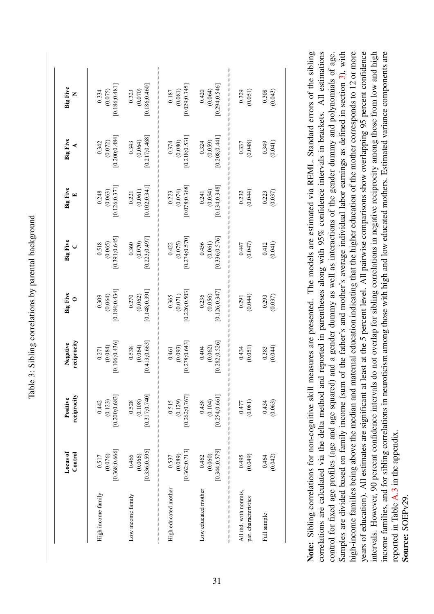| (0.080)<br>(0.072)<br>(0.059)<br>(0.048)<br>0.343<br>0.324<br>0.342<br>0.374<br>0.337<br>0.349<br>[0.102; 0.341]<br>[0.134, 0.348]<br>[0.078, 0.368]<br>[0.126; 0.371]<br>(0.074)<br>(0.054)<br>(0.063)<br>(0.061)<br>(0.044)<br>0.248<br>0.223<br>0.232<br>0.241<br>0.221<br>0.223<br>[0.223; 0.497]<br>[0.336; 0.576]<br>[0.391, 0.645]<br>[0.274, 0.570]<br>(0.070)<br>(0.065)<br>(0.075)<br>(0.061)<br>0.360<br>0.456<br>(0.047)<br>0.518<br>0.422<br>0.447<br>0.412<br>[0.148; 0.391]<br>[0.126, 0.347]<br>[0.184, 0.434]<br>[0.226; 0.503]<br>$0.270$<br>(0.062)<br>(0.056)<br>(0.064)<br>(0.071)<br>0.236<br>(0.044)<br>0.309<br>0.365<br>0.293<br>0.291<br>[0.413, 0.663]<br>[0.106; 0.436]<br>[0.282; 0.526]<br>[0.278, 0.643]<br>(0.064)<br>(0.084)<br>(0.093)<br>(0.062)<br>(0.051)<br>0.538<br>0.404<br>0.434<br>0.383<br>0.461<br>0.271<br>[0.317; 0.740]<br>[0.200; 0.683]<br>[0.262; 0.767]<br>[0.254; 0.661]<br>(0.108)<br>(0.129)<br>(0.123)<br>(0.104)<br>0.528<br>0.442<br>0.515<br>0.458<br>(0.081)<br>0.434<br>0.477<br>[0.368; 0.666]<br>[0.336; 0.595]<br>[0.344, 0.579]<br>[0.362, 0.713]<br>(0.076)<br>(0.066)<br>(0.060)<br>0.466<br>(0.089)<br>(0.049)<br>0.462<br>0.517<br>0.537<br>0.495<br>0.464<br>High educated mother<br>Low educated mother<br>All ind. with nonmis,<br>High income family<br>Low income family<br>par. characteristics<br>Full sample | Locus of<br>Control | reciprocity<br>Positive | reciprocity<br>Negative | <b>Big Five</b><br>$\circ$ | Big Five | <b>Big Five</b><br>$\mathbf{E}$ | <b>Big Five</b><br>⋖       | <b>Big Five</b><br>Z                   |
|------------------------------------------------------------------------------------------------------------------------------------------------------------------------------------------------------------------------------------------------------------------------------------------------------------------------------------------------------------------------------------------------------------------------------------------------------------------------------------------------------------------------------------------------------------------------------------------------------------------------------------------------------------------------------------------------------------------------------------------------------------------------------------------------------------------------------------------------------------------------------------------------------------------------------------------------------------------------------------------------------------------------------------------------------------------------------------------------------------------------------------------------------------------------------------------------------------------------------------------------------------------------------------------------------------------------------------------------------------------------------------------|---------------------|-------------------------|-------------------------|----------------------------|----------|---------------------------------|----------------------------|----------------------------------------|
|                                                                                                                                                                                                                                                                                                                                                                                                                                                                                                                                                                                                                                                                                                                                                                                                                                                                                                                                                                                                                                                                                                                                                                                                                                                                                                                                                                                          |                     |                         |                         |                            |          |                                 | [0.200, 0.484]             | [0.186, 0.481]<br>(0.075)<br>0.334     |
|                                                                                                                                                                                                                                                                                                                                                                                                                                                                                                                                                                                                                                                                                                                                                                                                                                                                                                                                                                                                                                                                                                                                                                                                                                                                                                                                                                                          |                     |                         |                         |                            |          |                                 | $(0.064)$<br>[0.217;0.468] | [0.186; 0.460]<br>$0.323$<br>$(0.070)$ |
|                                                                                                                                                                                                                                                                                                                                                                                                                                                                                                                                                                                                                                                                                                                                                                                                                                                                                                                                                                                                                                                                                                                                                                                                                                                                                                                                                                                          |                     |                         |                         |                            |          |                                 | [0.218, 0.531]             | [0.029; 0.345]<br>(0.081)<br>0.187     |
|                                                                                                                                                                                                                                                                                                                                                                                                                                                                                                                                                                                                                                                                                                                                                                                                                                                                                                                                                                                                                                                                                                                                                                                                                                                                                                                                                                                          |                     |                         |                         |                            |          |                                 | [0.208; 0.441]             | 0.294, 0.546<br>0.420<br>(0.064)       |
|                                                                                                                                                                                                                                                                                                                                                                                                                                                                                                                                                                                                                                                                                                                                                                                                                                                                                                                                                                                                                                                                                                                                                                                                                                                                                                                                                                                          |                     |                         |                         |                            |          |                                 |                            | (0.051)<br>0.329                       |
| (0.041)<br>(0.037)<br>(0.041)<br>(0.037)<br>(0.044)<br>(0.063)<br>(0.042)                                                                                                                                                                                                                                                                                                                                                                                                                                                                                                                                                                                                                                                                                                                                                                                                                                                                                                                                                                                                                                                                                                                                                                                                                                                                                                                |                     |                         |                         |                            |          |                                 |                            | (0.043)<br>0.308                       |

<span id="page-33-0"></span>Note: Sibling correlations for non-cognitive skill measures are presented. The models are estimated via REML. Standard errors of the sibling correlations are calculated via the delta mehod and reported in paemheses along

Table 3: Sibling correlations by parental background Table 3: Sibling correlations by parental background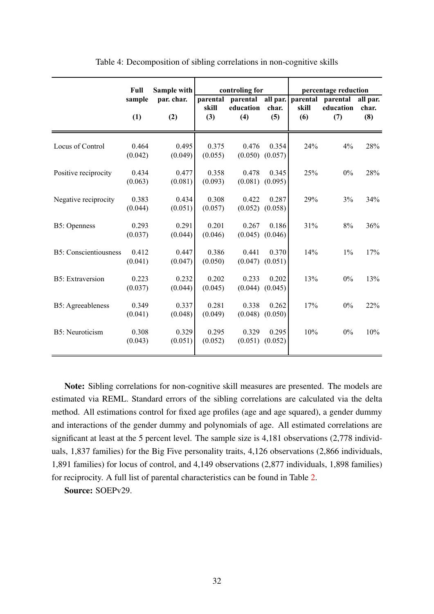|                               | Sample with<br><b>Full</b> |                  |                  | controling for   |                              | percentage reduction |                  |              |  |
|-------------------------------|----------------------------|------------------|------------------|------------------|------------------------------|----------------------|------------------|--------------|--|
|                               | sample                     | par. char.       | parental         | parental         | all par.                     | parental             | parental         | all par.     |  |
|                               | (1)                        | (2)              | skill<br>(3)     | education<br>(4) | char.<br>(5)                 | skill<br>(6)         | education<br>(7) | char.<br>(8) |  |
| Locus of Control              | 0.464<br>(0.042)           | 0.495<br>(0.049) | 0.375<br>(0.055) | 0.476            | 0.354<br>$(0.050)$ $(0.057)$ | 24%                  | 4%               | 28%          |  |
| Positive reciprocity          | 0.434<br>(0.063)           | 0.477<br>(0.081) | 0.358<br>(0.093) | 0.478            | 0.345<br>$(0.081)$ $(0.095)$ | 25%                  | $0\%$            | 28%          |  |
| Negative reciprocity          | 0.383<br>(0.044)           | 0.434<br>(0.051) | 0.308<br>(0.057) | 0.422            | 0.287<br>$(0.052)$ $(0.058)$ | 29%                  | 3%               | 34%          |  |
| <b>B5: Openness</b>           | 0.293                      | 0.291            | 0.201            | 0.267            | 0.186                        | 31%                  | 8%               | 36%          |  |
| <b>B5</b> : Conscientiousness | (0.037)<br>0.412           | (0.044)<br>0.447 | (0.046)<br>0.386 | (0.045)<br>0.441 | (0.046)<br>0.370             | 14%                  | 1%               | 17%          |  |
| <b>B5</b> : Extraversion      | (0.041)<br>0.223           | (0.047)<br>0.232 | (0.050)<br>0.202 | 0.233            | $(0.047)$ $(0.051)$<br>0.202 | 13%                  | $0\%$            | 13%          |  |
| <b>B5</b> : Agreeableness     | (0.037)<br>0.349           | (0.044)<br>0.337 | (0.045)<br>0.281 | (0.044)<br>0.338 | (0.045)<br>0.262             | 17%                  | $0\%$            | 22%          |  |
| B5: Neuroticism               | (0.041)<br>0.308           | (0.048)<br>0.329 | (0.049)<br>0.295 | (0.048)<br>0.329 | (0.050)<br>0.295             | 10%                  | 0%               | 10%          |  |
|                               | (0.043)                    | (0.051)          | (0.052)          |                  | $(0.051)$ $(0.052)$          |                      |                  |              |  |

<span id="page-34-0"></span>Table 4: Decomposition of sibling correlations in non-cognitive skills

Note: Sibling correlations for non-cognitive skill measures are presented. The models are estimated via REML. Standard errors of the sibling correlations are calculated via the delta method. All estimations control for fixed age profiles (age and age squared), a gender dummy and interactions of the gender dummy and polynomials of age. All estimated correlations are significant at least at the 5 percent level. The sample size is 4,181 observations (2,778 individuals, 1,837 families) for the Big Five personality traits, 4,126 observations (2,866 individuals, 1,891 families) for locus of control, and 4,149 observations (2,877 individuals, 1,898 families) for reciprocity. A full list of parental characteristics can be found in Table [2.](#page-32-0)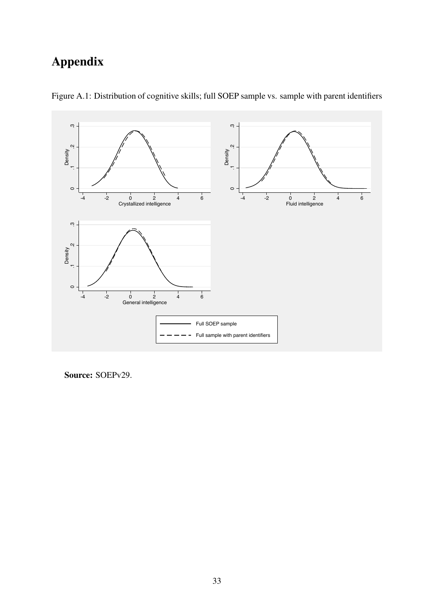# Appendix



Figure A.1: Distribution of cognitive skills; full SOEP sample vs. sample with parent identifiers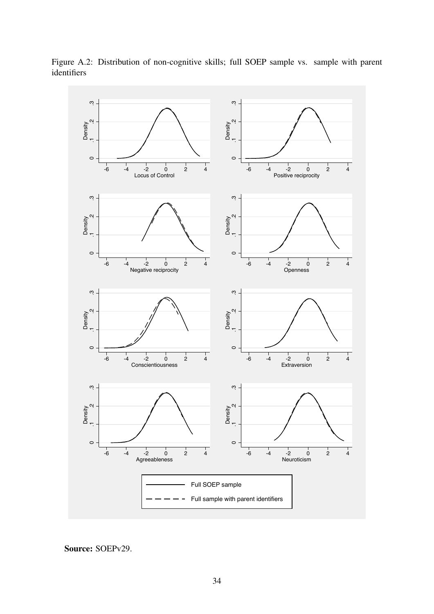

Figure A.2: Distribution of non-cognitive skills; full SOEP sample vs. sample with parent identifiers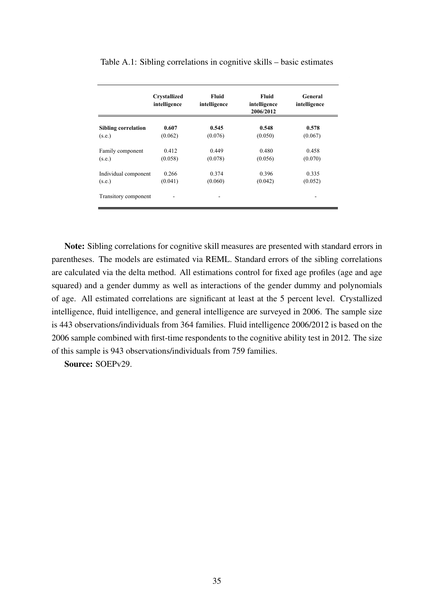|                            | <b>Crystallized</b><br>intelligence | Fluid<br>intelligence | Fluid<br>intelligence<br>2006/2012 | General<br>intelligence |
|----------------------------|-------------------------------------|-----------------------|------------------------------------|-------------------------|
| <b>Sibling correlation</b> | 0.607                               | 0.545                 | 0.548                              | 0.578                   |
| (s.e.)                     | (0.062)                             | (0.076)               | (0.050)                            | (0.067)                 |
| Family component           | 0.412                               | 0.449                 | 0.480                              | 0.458                   |
| (s.e.)                     | (0.058)                             | (0.078)               | (0.056)                            | (0.070)                 |
| Individual component       | 0.266                               | 0.374                 | 0.396                              | 0.335                   |
| (s.e.)                     | (0.041)                             | (0.060)               | (0.042)                            | (0.052)                 |
| Transitory component       |                                     |                       |                                    |                         |

Table A.1: Sibling correlations in cognitive skills – basic estimates

Note: Sibling correlations for cognitive skill measures are presented with standard errors in parentheses. The models are estimated via REML. Standard errors of the sibling correlations are calculated via the delta method. All estimations control for fixed age profiles (age and age squared) and a gender dummy as well as interactions of the gender dummy and polynomials of age. All estimated correlations are significant at least at the 5 percent level. Crystallized intelligence, fluid intelligence, and general intelligence are surveyed in 2006. The sample size is 443 observations/individuals from 364 families. Fluid intelligence 2006/2012 is based on the 2006 sample combined with first-time respondents to the cognitive ability test in 2012. The size of this sample is 943 observations/individuals from 759 families.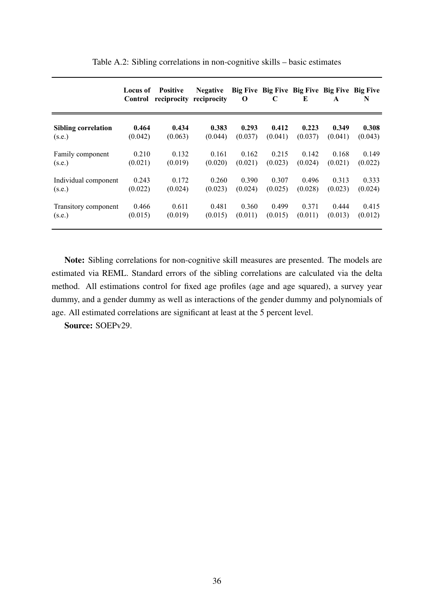|                            | Locus of<br>Control | <b>Positive</b> | <b>Negative</b><br>reciprocity reciprocity | $\bf o$ | C       | E       | Big Five Big Five Big Five Big Five Big Five<br>$\mathbf{A}$ | N       |
|----------------------------|---------------------|-----------------|--------------------------------------------|---------|---------|---------|--------------------------------------------------------------|---------|
| <b>Sibling correlation</b> | 0.464               | 0.434           | 0.383                                      | 0.293   | 0.412   | 0.223   | 0.349                                                        | 0.308   |
| (s.e.)                     | (0.042)             | (0.063)         | (0.044)                                    | (0.037) | (0.041) | (0.037) | (0.041)                                                      | (0.043) |
| Family component           | 0.210               | 0.132           | 0.161                                      | 0.162   | 0.215   | 0.142   | 0.168                                                        | 0.149   |
| (s.e.)                     | (0.021)             | (0.019)         | (0.020)                                    | (0.021) | (0.023) | (0.024) | (0.021)                                                      | (0.022) |
| Individual component       | 0.243               | 0.172           | 0.260                                      | 0.390   | 0.307   | 0.496   | 0.313                                                        | 0.333   |
| (s.e.)                     | (0.022)             | (0.024)         | (0.023)                                    | (0.024) | (0.025) | (0.028) | (0.023)                                                      | (0.024) |
| Transitory component       | 0.466               | 0.611           | 0.481                                      | 0.360   | 0.499   | 0.371   | 0.444                                                        | 0.415   |
| (s.e.)                     | (0.015)             | (0.019)         | (0.015)                                    | (0.011) | (0.015) | (0.011) | (0.013)                                                      | (0.012) |

Table A.2: Sibling correlations in non-cognitive skills – basic estimates

Note: Sibling correlations for non-cognitive skill measures are presented. The models are estimated via REML. Standard errors of the sibling correlations are calculated via the delta method. All estimations control for fixed age profiles (age and age squared), a survey year dummy, and a gender dummy as well as interactions of the gender dummy and polynomials of age. All estimated correlations are significant at least at the 5 percent level.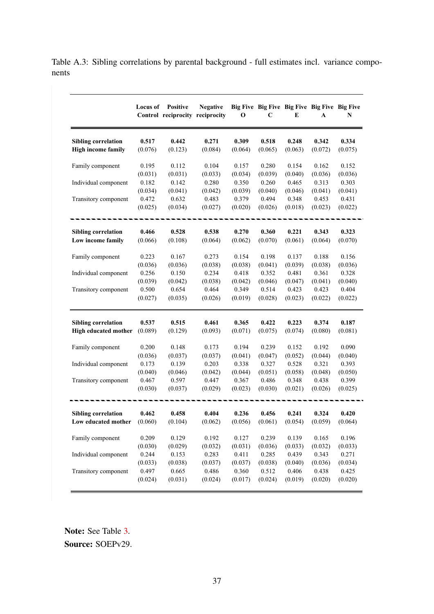Table A.3: Sibling correlations by parental background - full estimates incl. variance components

|                                                         | Locus of | <b>Positive</b><br>Control reciprocity reciprocity | <b>Negative</b> | 0       | Big Five Big Five Big Five Big Five Big Five<br>C | E       | A                | N       |
|---------------------------------------------------------|----------|----------------------------------------------------|-----------------|---------|---------------------------------------------------|---------|------------------|---------|
| <b>Sibling correlation</b><br><b>High income family</b> | 0.517    | 0.442                                              | 0.271           | 0.309   | 0.518<br>(0.065)                                  | 0.248   | 0.342<br>(0.072) | 0.334   |
|                                                         | (0.076)  | (0.123)                                            | (0.084)         | (0.064) |                                                   | (0.063) |                  | (0.075) |
| Family component                                        | 0.195    | 0.112                                              | 0.104           | 0.157   | 0.280                                             | 0.154   | 0.162            | 0.152   |
|                                                         | (0.031)  | (0.031)                                            | (0.033)         | (0.034) | (0.039)                                           | (0.040) | (0.036)          | (0.036) |
| Individual component                                    | 0.182    | 0.142                                              | 0.280           | 0.350   | 0.260                                             | 0.465   | 0.313            | 0.303   |
|                                                         | (0.034)  | (0.041)                                            | (0.042)         | (0.039) | (0.040)                                           | (0.046) | (0.041)          | (0.041) |
| Transitory component                                    | 0.472    | 0.632                                              | 0.483           | 0.379   | 0.494                                             | 0.348   | 0.453            | 0.431   |
|                                                         | (0.025)  | (0.034)                                            | (0.027)         | (0.020) | (0.026)                                           | (0.018) | (0.023)          | (0.022) |
| <b>Sibling correlation</b>                              | 0.466    | 0.528                                              | 0.538           | 0.270   | 0.360                                             | 0.221   | 0.343            | 0.323   |
| Low income family                                       | (0.066)  | (0.108)                                            | (0.064)         | (0.062) | (0.070)                                           | (0.061) | (0.064)          | (0.070) |
|                                                         |          |                                                    |                 |         |                                                   |         |                  |         |
| Family component                                        | 0.223    | 0.167                                              | 0.273           | 0.154   | 0.198                                             | 0.137   | 0.188            | 0.156   |
|                                                         | (0.036)  | (0.036)                                            | (0.038)         | (0.038) | (0.041)                                           | (0.039) | (0.038)          | (0.036) |
| Individual component                                    | 0.256    | 0.150                                              | 0.234           | 0.418   | 0.352                                             | 0.481   | 0.361            | 0.328   |
|                                                         | (0.039)  | (0.042)                                            | (0.038)         | (0.042) | (0.046)                                           | (0.047) | (0.041)          | (0.040) |
| Transitory component                                    | 0.500    | 0.654                                              | 0.464           | 0.349   | 0.514                                             | 0.423   | 0.423            | 0.404   |
|                                                         | (0.027)  | (0.035)                                            | (0.026)         | (0.019) | (0.028)                                           | (0.023) | (0.022)          | (0.022) |
| <b>Sibling correlation</b>                              | 0.537    | 0.515                                              | 0.461           | 0.365   | 0.422                                             | 0.223   | 0.374            | 0.187   |
| High educated mother                                    | (0.089)  | (0.129)                                            | (0.093)         | (0.071) | (0.075)                                           | (0.074) | (0.080)          | (0.081) |
| Family component                                        | 0.200    | 0.148                                              | 0.173           | 0.194   | 0.239                                             | 0.152   | 0.192            | 0.090   |
|                                                         | (0.036)  | (0.037)                                            | (0.037)         | (0.041) | (0.047)                                           | (0.052) | (0.044)          | (0.040) |
| Individual component                                    | 0.173    | 0.139                                              | 0.203           | 0.338   | 0.327                                             | 0.528   | 0.321            | 0.393   |
|                                                         | (0.040)  | (0.046)                                            | (0.042)         | (0.044) | (0.051)                                           | (0.058) | (0.048)          | (0.050) |
| Transitory component                                    | 0.467    | 0.597                                              | 0.447           | 0.367   | 0.486                                             | 0.348   | 0.438            | 0.399   |
|                                                         | (0.030)  | (0.037)                                            | (0.029)         | (0.023) | (0.030)                                           | (0.021) | (0.026)          | (0.025) |
| <b>Sibling correlation</b>                              | 0.462    | 0.458                                              | 0.404           | 0.236   | 0.456                                             | 0.241   | 0.324            | 0.420   |
| Low educated mother                                     | (0.060)  | (0.104)                                            | (0.062)         | (0.056) | (0.061)                                           | (0.054) | (0.059)          | (0.064) |
| Family component                                        | 0.209    | 0.129                                              | 0.192           | 0.127   | 0.239                                             | 0.139   | 0.165            | 0.196   |
|                                                         | (0.030)  | (0.029)                                            | (0.032)         | (0.031) | (0.036)                                           | (0.033) | (0.032)          | (0.033) |
| Individual component                                    | 0.244    | 0.153                                              | 0.283           | 0.411   | 0.285                                             | 0.439   | 0.343            | 0.271   |
|                                                         | (0.033)  | (0.038)                                            | (0.037)         | (0.037) | (0.038)                                           | (0.040) | (0.036)          | (0.034) |
| Transitory component                                    | 0.497    | 0.665                                              | 0.486           | 0.360   | 0.512                                             | 0.406   | 0.438            | 0.425   |
|                                                         | (0.024)  | (0.031)                                            | (0.024)         | (0.017) | (0.024)                                           | (0.019) | (0.020)          | (0.020) |

Note: See Table [3.](#page-33-0)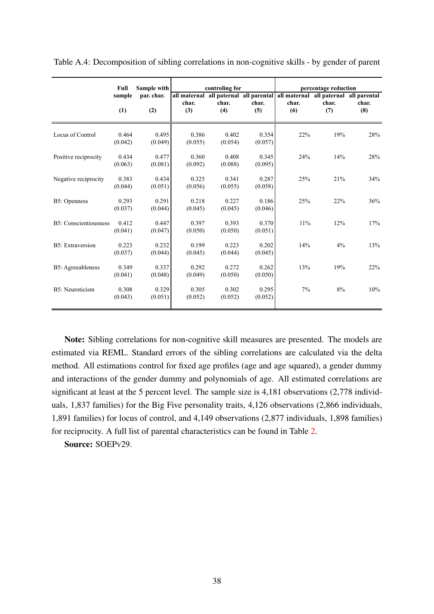|                          | Full             | Sample with       |                  | controling for   |                  |                                                                                               | percentage reduction |              |
|--------------------------|------------------|-------------------|------------------|------------------|------------------|-----------------------------------------------------------------------------------------------|----------------------|--------------|
|                          | sample<br>(1)    | par. char.<br>(2) | char.<br>(3)     | char.<br>(4)     | char.<br>(5)     | all maternal all paternal all parental all maternal all paternal all parental<br>char.<br>(6) | char.<br>(7)         | char.<br>(8) |
| Locus of Control         | 0.464<br>(0.042) | 0.495<br>(0.049)  | 0.386<br>(0.055) | 0.402<br>(0.054) | 0.354<br>(0.057) | 22%                                                                                           | 19%                  | 28%          |
| Positive reciprocity     | 0.434<br>(0.063) | 0.477<br>(0.081)  | 0.360<br>(0.092) | 0.408<br>(0.088) | 0.345<br>(0.095) | 24%                                                                                           | 14%                  | 28%          |
| Negative reciprocity     | 0.383<br>(0.044) | 0.434<br>(0.051)  | 0.325<br>(0.056) | 0.341<br>(0.055) | 0.287<br>(0.058) | 25%                                                                                           | 21%                  | 34%          |
| B5: Openness             | 0.293<br>(0.037) | 0.291<br>(0.044)  | 0.218<br>(0.045) | 0.227<br>(0.045) | 0.186<br>(0.046) | 25%                                                                                           | 22%                  | 36%          |
| B5: Conscientiousness    | 0.412<br>(0.041) | 0.447<br>(0.047)  | 0.397<br>(0.050) | 0.393<br>(0.050) | 0.370<br>(0.051) | 11%                                                                                           | 12%                  | 17%          |
| <b>B5</b> : Extraversion | 0.223<br>(0.037) | 0.232<br>(0.044)  | 0.199<br>(0.045) | 0.223<br>(0.044) | 0.202<br>(0.045) | 14%                                                                                           | 4%                   | 13%          |
| B5: Agreeableness        | 0.349<br>(0.041) | 0.337<br>(0.048)  | 0.292<br>(0.049) | 0.272<br>(0.050) | 0.262<br>(0.050) | 13%                                                                                           | 19%                  | 22%          |
| B5: Neuroticism          | 0.308<br>(0.043) | 0.329<br>(0.051)  | 0.305<br>(0.052) | 0.302<br>(0.052) | 0.295<br>(0.052) | 7%                                                                                            | 8%                   | 10%          |

Table A.4: Decomposition of sibling correlations in non-cognitive skills - by gender of parent

Note: Sibling correlations for non-cognitive skill measures are presented. The models are estimated via REML. Standard errors of the sibling correlations are calculated via the delta method. All estimations control for fixed age profiles (age and age squared), a gender dummy and interactions of the gender dummy and polynomials of age. All estimated correlations are significant at least at the 5 percent level. The sample size is 4,181 observations (2,778 individuals, 1,837 families) for the Big Five personality traits, 4,126 observations (2,866 individuals, 1,891 families) for locus of control, and 4,149 observations (2,877 individuals, 1,898 families) for reciprocity. A full list of parental characteristics can be found in Table [2.](#page-32-0)